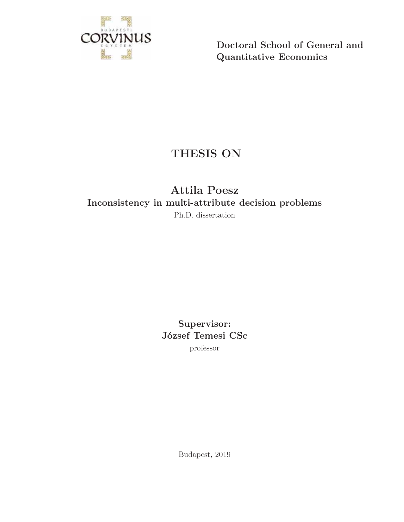

**Doctoral School of General and Quantitative Economics**

# **THESIS ON**

# **Attila Poesz Inconsistency in multi-attribute decision problems** Ph.D. dissertation

**Supervisor: József Temesi CSc** professor

Budapest, 2019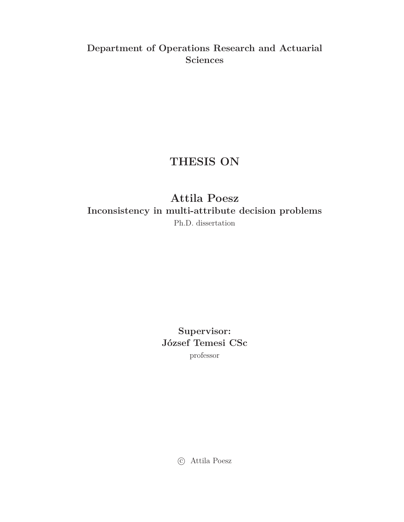# **Department of Operations Research and Actuarial Sciences**

# **THESIS ON**

**Attila Poesz Inconsistency in multi-attribute decision problems** Ph.D. dissertation

> **Supervisor: József Temesi CSc**

professor

c Attila Poesz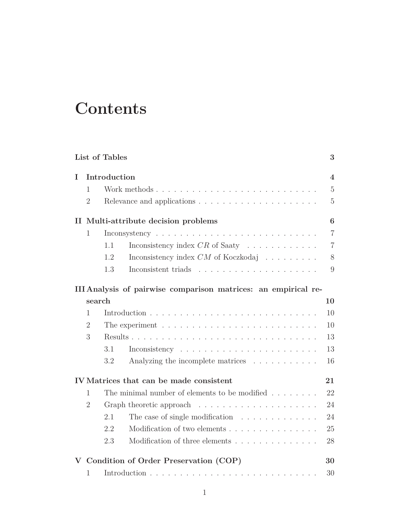# **Contents**

|                | List of Tables |                                                                          | 3                       |
|----------------|----------------|--------------------------------------------------------------------------|-------------------------|
| Τ              | Introduction   |                                                                          | $\overline{\mathbf{4}}$ |
| 1              |                |                                                                          | $\overline{5}$          |
| $\overline{2}$ |                |                                                                          | $\overline{5}$          |
| П              |                | Multi-attribute decision problems                                        | $\bf{6}$                |
| $\mathbf{1}$   |                |                                                                          | $\overline{7}$          |
|                | 1.1            | Inconsistency index $CR$ of Saaty $\ldots \ldots \ldots \ldots$          | $\overline{7}$          |
|                | 1.2            | Inconsistency index $CM$ of Koczkodaj $\hfill\ldots\ldots\ldots\ldots$   | 8                       |
|                | 1.3            |                                                                          | 9                       |
|                |                | III Analysis of pairwise comparison matrices: an empirical re-           |                         |
|                | search         |                                                                          | 10                      |
| $\mathbf{1}$   |                |                                                                          | 10                      |
| $\overline{2}$ |                | The experiment $\ldots \ldots \ldots \ldots \ldots \ldots \ldots \ldots$ | 10                      |
| 3              |                |                                                                          | 13                      |
|                | 3.1            | $Inconsistency \t \t \t \t \t \t \t$                                     | 13                      |
|                | 3.2            | Analyzing the incomplete matrices                                        | 16                      |
|                |                | IV Matrices that can be made consistent                                  | 21                      |
| 1              |                | The minimal number of elements to be modified $\ldots \ldots$            | 22                      |
| $\overline{2}$ |                | Graph theoretic approach $\ldots \ldots \ldots \ldots \ldots \ldots$     | 24                      |
|                | 2.1            | The case of single modification $\ldots \ldots \ldots \ldots$            | 24                      |
|                | 2.2            | Modification of two elements                                             | 25                      |
|                | 2.3            | Modification of three elements                                           | 28                      |
|                |                | Condition of Order Preservation (COP)                                    | 30                      |
| 1              |                |                                                                          | 30                      |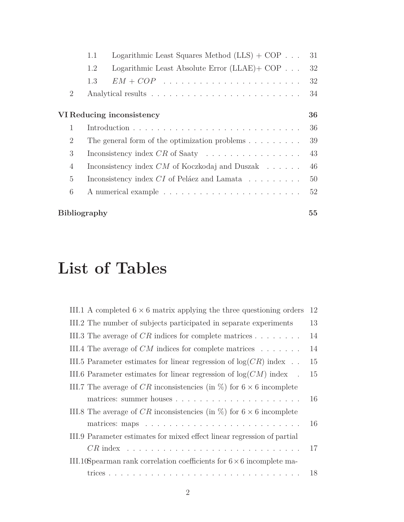|                             | 1.1 | Logarithmic Least Squares Method $(LLS) + COP \dots$                   | 31 |
|-----------------------------|-----|------------------------------------------------------------------------|----|
|                             | 1.2 | Logarithmic Least Absolute Error $(LLAE)$ + COP $\ldots$               | 32 |
|                             | 1.3 | $EM+ COP \dots \dots \dots \dots \dots \dots \dots \dots \dots \dots$  | 32 |
| $\overline{2}$              |     |                                                                        | 34 |
|                             |     | VI Reducing inconsistency                                              | 36 |
| $\mathbf{1}$                |     |                                                                        | 36 |
| $\mathcal{D}_{\mathcal{L}}$ |     | The general form of the optimization problems $\dots \dots$            | 39 |
| 3                           |     | Inconsistency index $CR$ of Saaty $\ldots \ldots \ldots \ldots \ldots$ | 43 |
| 4                           |     | Inconsistency index $CM$ of Koczkodaj and Duszak $\ldots$ .            | 46 |
| $\overline{5}$              |     | Inconsistency index $CI$ of Peláez and Lamata $\ldots \ldots \ldots$   | 50 |
| 6                           |     |                                                                        | 52 |
|                             |     |                                                                        |    |

### **Bibliography 55**

# **List of Tables**

| III.1 A completed $6 \times 6$ matrix applying the three questioning orders    | 12 |
|--------------------------------------------------------------------------------|----|
| III.2 The number of subjects participated in separate experiments              | 13 |
| III.3 The average of $CR$ indices for complete matrices $\ldots \ldots \ldots$ | 14 |
| III.4 The average of $CM$ indices for complete matrices $\ldots \ldots$        | 14 |
| III.5 Parameter estimates for linear regression of $log(CR)$ index             | 15 |
| III.6 Parameter estimates for linear regression of $log(CM)$ index.            | 15 |
| III.7 The average of CR inconsistencies (in $\%$ ) for 6 $\times$ 6 incomplete |    |
|                                                                                | 16 |
| III.8 The average of CR inconsistencies (in $\%$ ) for 6 $\times$ 6 incomplete |    |
|                                                                                | 16 |
| III.9 Parameter estimates for mixed effect linear regression of partial        |    |
|                                                                                | 17 |
| III.10S pearman rank correlation coefficients for $6 \times 6$ incomplete ma-  |    |
|                                                                                | 18 |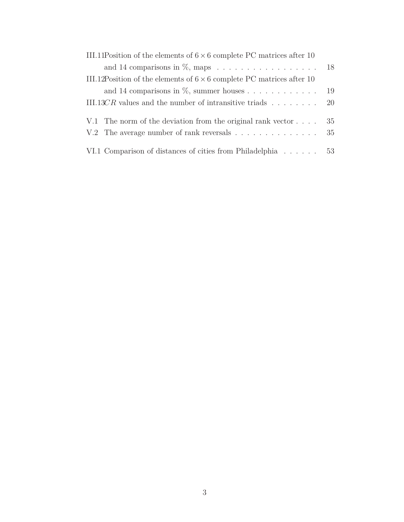| III.11Position of the elements of $6 \times 6$ complete PC matrices after 10 |    |
|------------------------------------------------------------------------------|----|
| and 14 comparisons in $\%$ , maps 18                                         |    |
| III.12Position of the elements of $6 \times 6$ complete PC matrices after 10 |    |
| and 14 comparisons in $\%$ , summer houses                                   | 19 |
| III.13CR values and the number of intransitive triads $\ldots \ldots$ .      |    |
|                                                                              |    |
| V.1 The norm of the deviation from the original rank vector $\dots$ .        | 35 |
| V.2 The average number of rank reversals                                     | 35 |
|                                                                              |    |
| VI.1 Comparison of distances of cities from Philadelphia                     | 53 |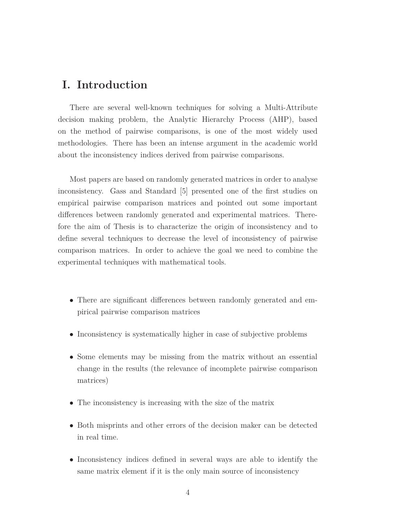# **I. Introduction**

There are several well-known techniques for solving a Multi-Attribute decision making problem, the Analytic Hierarchy Process (AHP), based on the method of pairwise comparisons, is one of the most widely used methodologies. There has been an intense argument in the academic world about the inconsistency indices derived from pairwise comparisons.

Most papers are based on randomly generated matrices in order to analyse inconsistency. Gass and Standard [5] presented one of the first studies on empirical pairwise comparison matrices and pointed out some important differences between randomly generated and experimental matrices. Therefore the aim of Thesis is to characterize the origin of inconsistency and to define several techniques to decrease the level of inconsistency of pairwise comparison matrices. In order to achieve the goal we need to combine the experimental techniques with mathematical tools.

- There are significant differences between randomly generated and empirical pairwise comparison matrices
- Inconsistency is systematically higher in case of subjective problems
- Some elements may be missing from the matrix without an essential change in the results (the relevance of incomplete pairwise comparison matrices)
- The inconsistency is increasing with the size of the matrix
- Both misprints and other errors of the decision maker can be detected in real time.
- Inconsistency indices defined in several ways are able to identify the same matrix element if it is the only main source of inconsistency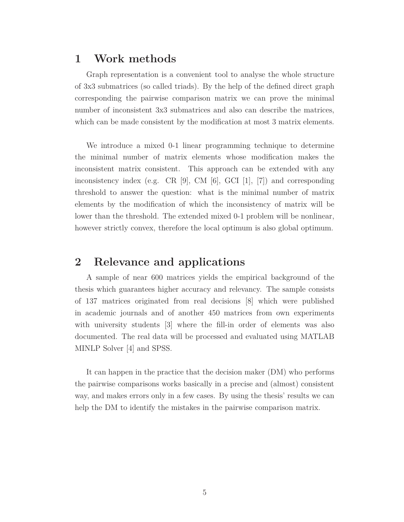### **1 Work methods**

Graph representation is a convenient tool to analyse the whole structure of 3x3 submatrices (so called triads). By the help of the defined direct graph corresponding the pairwise comparison matrix we can prove the minimal number of inconsistent 3x3 submatrices and also can describe the matrices, which can be made consistent by the modification at most 3 matrix elements.

We introduce a mixed 0-1 linear programming technique to determine the minimal number of matrix elements whose modification makes the inconsistent matrix consistent. This approach can be extended with any inconsistency index (e.g. CR [9], CM [6], GCI [1], [7]) and corresponding threshold to answer the question: what is the minimal number of matrix elements by the modification of which the inconsistency of matrix will be lower than the threshold. The extended mixed 0-1 problem will be nonlinear, however strictly convex, therefore the local optimum is also global optimum.

## **2 Relevance and applications**

A sample of near 600 matrices yields the empirical background of the thesis which guarantees higher accuracy and relevancy. The sample consists of 137 matrices originated from real decisions [8] which were published in academic journals and of another 450 matrices from own experiments with university students [3] where the fill-in order of elements was also documented. The real data will be processed and evaluated using MATLAB MINLP Solver [4] and SPSS.

It can happen in the practice that the decision maker (DM) who performs the pairwise comparisons works basically in a precise and (almost) consistent way, and makes errors only in a few cases. By using the thesis' results we can help the DM to identify the mistakes in the pairwise comparison matrix.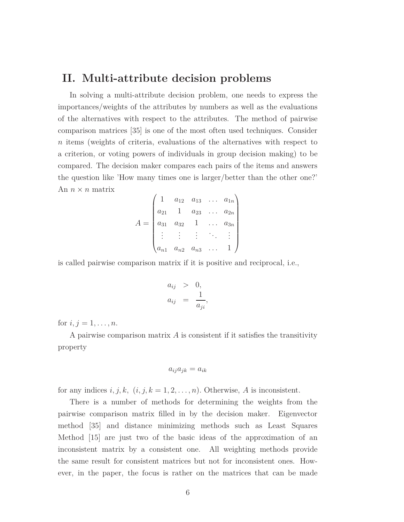### **II. Multi-attribute decision problems**

In solving a multi-attribute decision problem, one needs to express the importances/weights of the attributes by numbers as well as the evaluations of the alternatives with respect to the attributes. The method of pairwise comparison matrices [35] is one of the most often used techniques. Consider *n* items (weights of criteria, evaluations of the alternatives with respect to a criterion, or voting powers of individuals in group decision making) to be compared. The decision maker compares each pairs of the items and answers the question like 'How many times one is larger/better than the other one?' An  $n \times n$  matrix

$$
A = \begin{pmatrix} 1 & a_{12} & a_{13} & \dots & a_{1n} \\ a_{21} & 1 & a_{23} & \dots & a_{2n} \\ a_{31} & a_{32} & 1 & \dots & a_{3n} \\ \vdots & \vdots & \vdots & \ddots & \vdots \\ a_{n1} & a_{n2} & a_{n3} & \dots & 1 \end{pmatrix}
$$

is called pairwise comparison matrix if it is positive and reciprocal, i.e.,

$$
a_{ij} > 0,
$$
  

$$
a_{ij} = \frac{1}{a_{ji}},
$$

for  $i, j = 1, ..., n$ .

A pairwise comparison matrix *A* is consistent if it satisfies the transitivity property

$$
a_{ij}a_{jk} = a_{ik}
$$

for any indices  $i, j, k, (i, j, k = 1, 2, \ldots, n)$ . Otherwise, *A* is inconsistent.

There is a number of methods for determining the weights from the pairwise comparison matrix filled in by the decision maker. Eigenvector method [35] and distance minimizing methods such as Least Squares Method [15] are just two of the basic ideas of the approximation of an inconsistent matrix by a consistent one. All weighting methods provide the same result for consistent matrices but not for inconsistent ones. However, in the paper, the focus is rather on the matrices that can be made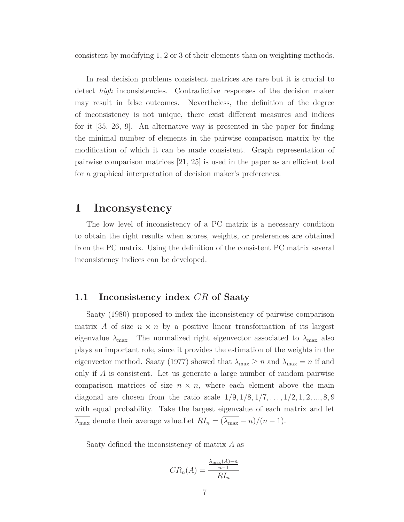consistent by modifying 1, 2 or 3 of their elements than on weighting methods.

In real decision problems consistent matrices are rare but it is crucial to detect *high* inconsistencies. Contradictive responses of the decision maker may result in false outcomes. Nevertheless, the definition of the degree of inconsistency is not unique, there exist different measures and indices for it [35, 26, 9]. An alternative way is presented in the paper for finding the minimal number of elements in the pairwise comparison matrix by the modification of which it can be made consistent. Graph representation of pairwise comparison matrices [21, 25] is used in the paper as an efficient tool for a graphical interpretation of decision maker's preferences.

### **1 Inconsystency**

The low level of inconsistency of a PC matrix is a necessary condition to obtain the right results when scores, weights, or preferences are obtained from the PC matrix. Using the definition of the consistent PC matrix several inconsistency indices can be developed.

#### **1.1 Inconsistency index** *CR* **of Saaty**

Saaty (1980) proposed to index the inconsistency of pairwise comparison matrix *A* of size  $n \times n$  by a positive linear transformation of its largest eigenvalue  $\lambda_{\text{max}}$ . The normalized right eigenvector associated to  $\lambda_{\text{max}}$  also plays an important role, since it provides the estimation of the weights in the eigenvector method. Saaty (1977) showed that  $\lambda_{\text{max}} \geq n$  and  $\lambda_{\text{max}} = n$  if and only if *A* is consistent. Let us generate a large number of random pairwise comparison matrices of size  $n \times n$ , where each element above the main diagonal are chosen from the ratio scale  $1/9, 1/8, 1/7, \ldots, 1/2, 1, 2, \ldots, 8, 9$ with equal probability. Take the largest eigenvalue of each matrix and let  $\overline{\lambda_{\text{max}}}$  denote their average value.Let  $RI_n = (\overline{\lambda_{\text{max}}} - n)/(n - 1)$ .

Saaty defined the inconsistency of matrix *A* as

$$
CR_n(A) = \frac{\frac{\lambda_{\max}(A) - n}{n - 1}}{R I_n}
$$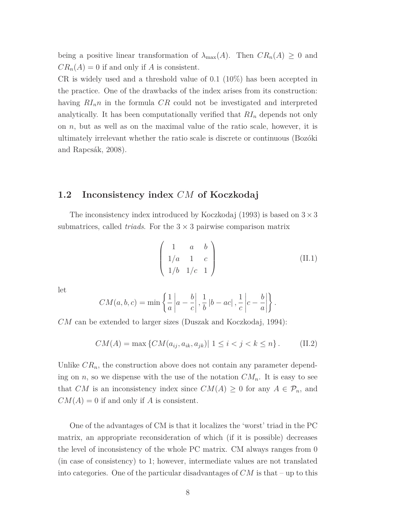being a positive linear transformation of  $\lambda_{\max}(A)$ . Then  $CR_n(A) \geq 0$  and  $CR_n(A) = 0$  if and only if *A* is consistent.

CR is widely used and a threshold value of 0.1 (10%) has been accepted in the practice. One of the drawbacks of the index arises from its construction: having *RInn* in the formula *CR* could not be investigated and interpreted analytically. It has been computationally verified that *RI<sup>n</sup>* depends not only on *n*, but as well as on the maximal value of the ratio scale, however, it is ultimately irrelevant whether the ratio scale is discrete or continuous (Bozóki and Rapcsák, 2008).

#### **1.2 Inconsistency index** *CM* **of Koczkodaj**

The inconsistency index introduced by Koczkodaj  $(1993)$  is based on  $3 \times 3$ submatrices, called *triads*. For the  $3 \times 3$  pairwise comparison matrix

$$
\begin{pmatrix} 1 & a & b \\ 1/a & 1 & c \\ 1/b & 1/c & 1 \end{pmatrix}
$$
 (II.1)

let

$$
CM(a, b, c) = \min \left\{ \frac{1}{a} \left| a - \frac{b}{c} \right|, \frac{1}{b} \left| b - ac \right|, \frac{1}{c} \left| c - \frac{b}{a} \right| \right\}.
$$

*CM* can be extended to larger sizes (Duszak and Koczkodaj, 1994):

$$
CM(A) = \max \{ CM(a_{ij}, a_{ik}, a_{jk}) | 1 \le i < j < k \le n \}.
$$
 (II.2)

Unlike  $CR_n$ , the construction above does not contain any parameter depending on *n*, so we dispense with the use of the notation  $CM_n$ . It is easy to see that *CM* is an inconsistency index since  $CM(A) \geq 0$  for any  $A \in \mathcal{P}_n$ , and  $CM(A) = 0$  if and only if *A* is consistent.

One of the advantages of CM is that it localizes the 'worst' triad in the PC matrix, an appropriate reconsideration of which (if it is possible) decreases the level of inconsistency of the whole PC matrix. CM always ranges from 0 (in case of consistency) to 1; however, intermediate values are not translated into categories. One of the particular disadvantages of *CM* is that – up to this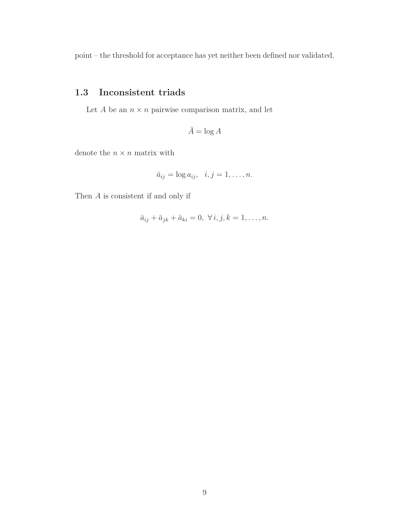point – the threshold for acceptance has yet neither been defined nor validated.

### **1.3 Inconsistent triads**

Let  $A$  be an  $n \times n$  pairwise comparison matrix, and let

 $\bar{A} = \log A$ 

denote the  $n \times n$  matrix with

$$
\bar{a}_{ij} = \log a_{ij}, \quad i, j = 1, \dots, n.
$$

Then *A* is consistent if and only if

$$
\bar{a}_{ij} + \bar{a}_{jk} + \bar{a}_{ki} = 0, \ \forall i, j, k = 1, \dots, n.
$$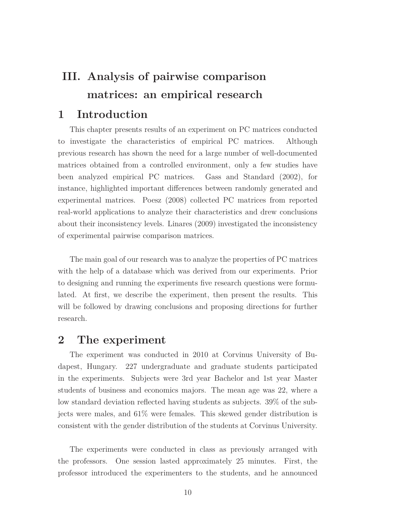# **III. Analysis of pairwise comparison matrices: an empirical research**

### **1 Introduction**

This chapter presents results of an experiment on PC matrices conducted to investigate the characteristics of empirical PC matrices. Although previous research has shown the need for a large number of well-documented matrices obtained from a controlled environment, only a few studies have been analyzed empirical PC matrices. Gass and Standard (2002), for instance, highlighted important differences between randomly generated and experimental matrices. Poesz (2008) collected PC matrices from reported real-world applications to analyze their characteristics and drew conclusions about their inconsistency levels. Linares (2009) investigated the inconsistency of experimental pairwise comparison matrices.

The main goal of our research was to analyze the properties of PC matrices with the help of a database which was derived from our experiments. Prior to designing and running the experiments five research questions were formulated. At first, we describe the experiment, then present the results. This will be followed by drawing conclusions and proposing directions for further research.

### **2 The experiment**

The experiment was conducted in 2010 at Corvinus University of Budapest, Hungary. 227 undergraduate and graduate students participated in the experiments. Subjects were 3rd year Bachelor and 1st year Master students of business and economics majors. The mean age was 22, where a low standard deviation reflected having students as subjects. 39% of the subjects were males, and 61% were females. This skewed gender distribution is consistent with the gender distribution of the students at Corvinus University.

The experiments were conducted in class as previously arranged with the professors. One session lasted approximately 25 minutes. First, the professor introduced the experimenters to the students, and he announced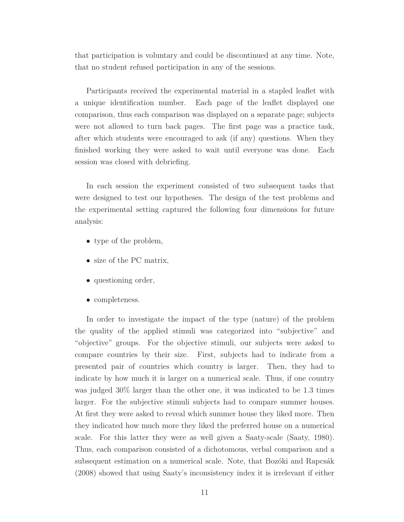that participation is voluntary and could be discontinued at any time. Note, that no student refused participation in any of the sessions.

Participants received the experimental material in a stapled leaflet with a unique identification number. Each page of the leaflet displayed one comparison, thus each comparison was displayed on a separate page; subjects were not allowed to turn back pages. The first page was a practice task, after which students were encouraged to ask (if any) questions. When they finished working they were asked to wait until everyone was done. Each session was closed with debriefing.

In each session the experiment consisted of two subsequent tasks that were designed to test our hypotheses. The design of the test problems and the experimental setting captured the following four dimensions for future analysis:

- type of the problem,
- size of the PC matrix,
- questioning order,
- completeness.

In order to investigate the impact of the type (nature) of the problem the quality of the applied stimuli was categorized into "subjective" and "objective" groups. For the objective stimuli, our subjects were asked to compare countries by their size. First, subjects had to indicate from a presented pair of countries which country is larger. Then, they had to indicate by how much it is larger on a numerical scale. Thus, if one country was judged 30% larger than the other one, it was indicated to be 1.3 times larger. For the subjective stimuli subjects had to compare summer houses. At first they were asked to reveal which summer house they liked more. Then they indicated how much more they liked the preferred house on a numerical scale. For this latter they were as well given a Saaty-scale (Saaty, 1980). Thus, each comparison consisted of a dichotomous, verbal comparison and a subsequent estimation on a numerical scale. Note, that Bozóki and Rapcsák (2008) showed that using Saaty's inconsistency index it is irrelevant if either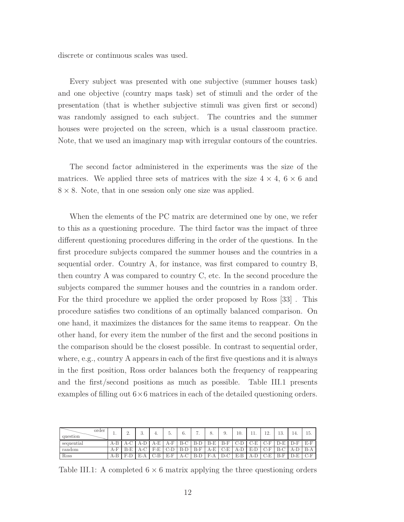discrete or continuous scales was used.

Every subject was presented with one subjective (summer houses task) and one objective (country maps task) set of stimuli and the order of the presentation (that is whether subjective stimuli was given first or second) was randomly assigned to each subject. The countries and the summer houses were projected on the screen, which is a usual classroom practice. Note, that we used an imaginary map with irregular contours of the countries.

The second factor administered in the experiments was the size of the matrices. We applied three sets of matrices with the size  $4 \times 4$ ,  $6 \times 6$  and  $8 \times 8$ . Note, that in one session only one size was applied.

When the elements of the PC matrix are determined one by one, we refer to this as a questioning procedure. The third factor was the impact of three different questioning procedures differing in the order of the questions. In the first procedure subjects compared the summer houses and the countries in a sequential order. Country A, for instance, was first compared to country B, then country A was compared to country C, etc. In the second procedure the subjects compared the summer houses and the countries in a random order. For the third procedure we applied the order proposed by Ross [33] . This procedure satisfies two conditions of an optimally balanced comparison. On one hand, it maximizes the distances for the same items to reappear. On the other hand, for every item the number of the first and the second positions in the comparison should be the closest possible. In contrast to sequential order, where, e.g., country A appears in each of the first five questions and it is always in the first position, Ross order balances both the frequency of reappearing and the first/second positions as much as possible. Table III.1 presents examples of filling out  $6\times6$  matrices in each of the detailed questioning orders.

| order<br>question | <b>.</b> | ٠.              | $\Omega$<br>o. | ч.                | Θ.                   | 6.              | ∽         | 8.          | У.        | 10.   | $\pm\pm\cdot$ | 1 ຕ<br>. <i>.</i> | ∣∩<br>TO.                           | ıт.  | Iυ.        |
|-------------------|----------|-----------------|----------------|-------------------|----------------------|-----------------|-----------|-------------|-----------|-------|---------------|-------------------|-------------------------------------|------|------------|
| sequential        | $A-B$    | .-v             | A-L            |                   | $A-F$                | $D \cap$<br>7-C | $B$ - $D$ | $B-E$       | B-F       | ◡-'   |               |                   | ∵−ل⊥                                |      | D D<br>£-1 |
| random            | $A-F$    | RЕ              | A-C            | гг<br>∟-י         | ுட                   | D-L             | $B-F$     | A-E         | ⊂⊡<br>∪-l | A-L   | ₽<br>D-L      |                   | , ת<br>∙-ت                          | 71-L | B-A        |
| Ross              | $A-B$    | Ð<br>$- F_{-1}$ | ы<br>L-A       | $-1$<br>- 12<br>◡ | E<br><b>A</b><br>D-F | $A-C$           | d-l       | T.<br>' F-A |           | $E-B$ | 71-L          | Ð                 | D<br>$\overline{\phantom{0}}$<br>ື່ |      | Ð          |

Table III.1: A completed  $6 \times 6$  matrix applying the three questioning orders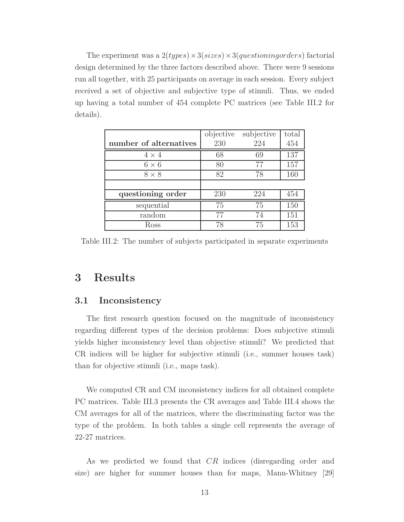The experiment was a 2(*types*)×3(*sizes*)×3(*questioningorders*) factorial design determined by the three factors described above. There were 9 sessions run all together, with 25 participants on average in each session. Every subject received a set of objective and subjective type of stimuli. Thus, we ended up having a total number of 454 complete PC matrices (see Table III.2 for details).

|                        | objective | subjective | total |
|------------------------|-----------|------------|-------|
| number of alternatives | 230       | 224        | 454   |
| $4 \times 4$           | 68        | 69         | 137   |
| $6 \times 6$           | 80        | 77         | 157   |
| $8 \times 8$           | 82        | 78         | 160   |
|                        |           |            |       |
| questioning order      | 230       | 224        | 454   |
| sequential             | 75        | 75         | 150   |
| random                 | 77        | 74         | 151   |
| Ross                   | 78        | 75         | 153   |

Table III.2: The number of subjects participated in separate experiments

# **3 Results**

#### **3.1 Inconsistency**

The first research question focused on the magnitude of inconsistency regarding different types of the decision problems: Does subjective stimuli yields higher inconsistency level than objective stimuli? We predicted that CR indices will be higher for subjective stimuli (i.e., summer houses task) than for objective stimuli (i.e., maps task).

We computed CR and CM inconsistency indices for all obtained complete PC matrices. Table III.3 presents the CR averages and Table III.4 shows the CM averages for all of the matrices, where the discriminating factor was the type of the problem. In both tables a single cell represents the average of 22-27 matrices.

As we predicted we found that *CR* indices (disregarding order and size) are higher for summer houses than for maps, Mann-Whitney [29]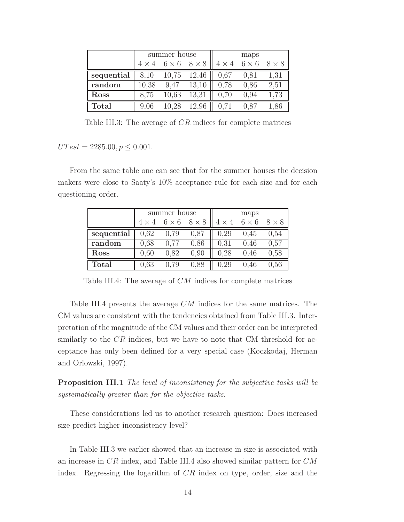|              |              | summer house              |       |      | maps                          |              |
|--------------|--------------|---------------------------|-------|------|-------------------------------|--------------|
|              | $4 \times 4$ | $6 \times 6$ $8 \times 8$ |       |      | $4 \times 4 \quad 6 \times 6$ | $8 \times 8$ |
| sequential   | 8,10         | 10,75                     | 12,46 | 0.67 | 0,81                          | 1,31         |
| random       | 10,38        | 9.47                      | 13,10 | 0,78 | 0,86                          | 2,51         |
| Ross         | 8,75         | 10,63                     | 13,31 | 0,70 | 0.94                          | 1,73         |
| <b>Total</b> | 9,06         | 10.28                     | 12,96 | 0,71 |                               |              |

Table III.3: The average of *CR* indices for complete matrices

 $UTest = 2285.00, p \leq 0.001.$ 

From the same table one can see that for the summer houses the decision makers were close to Saaty's 10% acceptance rule for each size and for each questioning order.

|              |              | summer house |              | maps         |              |              |  |  |
|--------------|--------------|--------------|--------------|--------------|--------------|--------------|--|--|
|              | $4 \times 4$ | $6 \times 6$ | $8 \times 8$ | $4 \times 4$ | $6 \times 6$ | $8 \times 8$ |  |  |
| sequential   | 0.62         | 0.79         | 0,87         | 0,29         | 0,45         | 0,54         |  |  |
| random       | 0.68         | 0,77         | 0.86         | 0,31         | 0,46         | 0,57         |  |  |
| Ross         | 0,60         | 0,82         | 0,90         | 0,28         | 0,46         | 0,58         |  |  |
| <b>Total</b> | 0.63         |              | 0.88         | 0.29         | 0,46         | 0.56         |  |  |

Table III.4: The average of *CM* indices for complete matrices

Table III.4 presents the average *CM* indices for the same matrices. The CM values are consistent with the tendencies obtained from Table III.3. Interpretation of the magnitude of the CM values and their order can be interpreted similarly to the *CR* indices, but we have to note that CM threshold for acceptance has only been defined for a very special case (Koczkodaj, Herman and Orlowski, 1997).

**Proposition III.1** *The level of inconsistency for the subjective tasks will be systematically greater than for the objective tasks.*

These considerations led us to another research question: Does increased size predict higher inconsistency level?

In Table III.3 we earlier showed that an increase in size is associated with an increase in *CR* index, and Table III.4 also showed similar pattern for *CM* index. Regressing the logarithm of *CR* index on type, order, size and the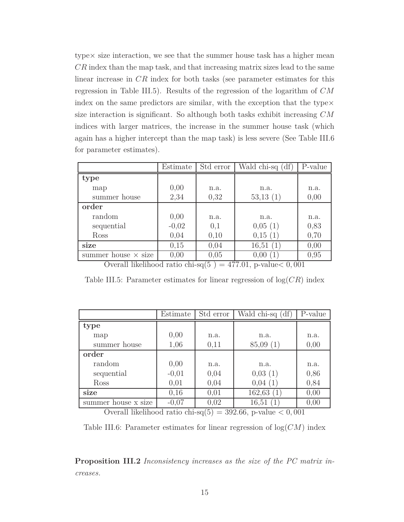type× size interaction, we see that the summer house task has a higher mean *CR* index than the map task, and that increasing matrix sizes lead to the same linear increase in *CR* index for both tasks (see parameter estimates for this regression in Table III.5). Results of the regression of the logarithm of *CM* index on the same predictors are similar, with the exception that the type $\times$ size interaction is significant. So although both tasks exhibit increasing *CM* indices with larger matrices, the increase in the summer house task (which again has a higher intercept than the map task) is less severe (See Table III.6 for parameter estimates).

|                            | Estimate | Std error | Wald chi-sq (df) | P-value |
|----------------------------|----------|-----------|------------------|---------|
| type                       |          |           |                  |         |
| map                        | 0,00     | n.a.      | n.a.             | n.a.    |
| summer house               | 2,34     | 0,32      | 53,13(1)         | 0,00    |
| order                      |          |           |                  |         |
| random                     | 0,00     | n.a.      | n.a.             | n.a.    |
| sequential                 | $-0,02$  | 0,1       | 0,05(1)          | 0,83    |
| Ross                       | 0,04     | 0,10      | 0,15(1)          | 0,70    |
| size                       | 0,15     | 0,04      | 16,51<br>(1)     | 0,00    |
| summer house $\times$ size | 0,00     | 0,05      | 0,00             | 0,95    |

Overall likelihood ratio chi-sq $(5) = 477.01$ , p-value $< 0,001$ 

Table III.5: Parameter estimates for linear regression of log(*CR*) index

|                     | Estimate | Std error | Wald chi-sq (df) | P-value |
|---------------------|----------|-----------|------------------|---------|
| type                |          |           |                  |         |
| map                 | 0,00     | n.a.      | n.a.             | n.a.    |
| summer house        | 1,06     | 0,11      | 85,09(1)         | 0,00    |
| order               |          |           |                  |         |
| random              | 0,00     | n.a.      | n.a.             | n.a.    |
| sequential          | $-0,01$  | 0,04      | 0,03(1)          | 0,86    |
| Ross                | 0,01     | 0,04      | 0,04             | 0,84    |
| size                | 0,16     | 0,01      | 162,63           | 0,00    |
| summer house x size | $-0,07$  | 0,02      | 16,51            | 0,00    |

Overall likelihood ratio chi-sq $(5) = 392.66$ , p-value  $< 0,001$ 

Table III.6: Parameter estimates for linear regression of log(*CM*) index

**Proposition III.2** *Inconsistency increases as the size of the PC matrix increases.*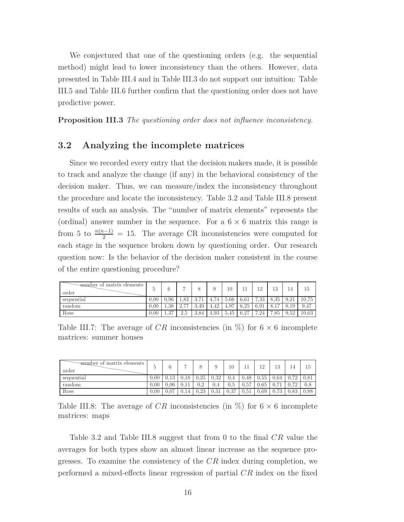We conjectured that one of the questioning orders (e.g. the sequential method) might lead to lower inconsistency than the others. However, data presented in Table III.4 and in Table III.3 do not support our intuition: Table III.5 and Table III.6 further confirm that the questioning order does not have predictive power.

**Proposition III.3** *The questioning order does not influence inconsistency.*

#### **3.2 Analyzing the incomplete matrices**

Since we recorded every entry that the decision makers made, it is possible to track and analyze the change (if any) in the behavioral consistency of the decision maker. Thus, we can measure/index the inconsistency throughout the procedure and locate the inconsistency. Table 3.2 and Table III.8 present results of such an analysis. The "number of matrix elements" represents the (ordinal) answer number in the sequence. For a  $6 \times 6$  matrix this range is from 5 to  $\frac{n(n-1)}{2} = 15$ . The average CR inconsistencies were computed for each stage in the sequence broken down by questioning order. Our research question now: Is the behavior of the decision maker consistent in the course of the entire questioning procedure?

| -number of matrix elements<br>order | υ    | ⌒    | ∽                                   |                         |                    | 10   | ŦΤ   | 1 <sub>2</sub> | 13       | 14   | 15    |
|-------------------------------------|------|------|-------------------------------------|-------------------------|--------------------|------|------|----------------|----------|------|-------|
| sequential                          | 0.00 | 0.96 | 1,82                                | 277<br>$\cup$ . $\cdot$ | $4^{\circ}$<br>4.1 | 5.66 | 6.61 | 7.99<br>.৩৩    | 8.35     | 9.21 | 10.75 |
| random                              | 0.00 | .38  | $\Omega$ $\overline{2}$<br><u>.</u> | 3.49                    | 4.42               | 4.97 | 6.25 | 6.91           |          | 19   | 9.47  |
| Ross                                | 0.00 | .37  | 2.5                                 | -3.84                   | 4.93               | 5.45 | 6,27 | $\Omega$<br>⇁  | .85<br>⇁ | 9.52 | 10.63 |

Table III.7: The average of CR inconsistencies (in  $\%$ ) for  $6 \times 6$  incomplete matrices: summer houses

| mumber of matrix elements<br>order |                | 6    |      |         | 9    | 10       |      | 1 ຕ  | 10<br>ΤĐ | 14   | ΤĐ   |
|------------------------------------|----------------|------|------|---------|------|----------|------|------|----------|------|------|
| sequential                         | 0.00           | 112  | 0.18 | 0.25    | 0.32 | 0,4      | 0.48 | 0.55 | 0.64     | 0.72 |      |
| random                             | $0.00^{\circ}$ | 0.06 |      | $0.2\,$ | 0,4  | $_{0.5}$ | 0.57 | 0.65 |          | 0.72 |      |
| Ross                               | 0.00           | 107  |      | 0.23    | 0.31 | 0.37     | 0.51 | 0.69 | 0.73     | 0.83 | 0.88 |

Table III.8: The average of *CR* inconsistencies (in  $\%$ ) for  $6 \times 6$  incomplete matrices: maps

Table 3.2 and Table III.8 suggest that from 0 to the final *CR* value the averages for both types show an almost linear increase as the sequence progresses. To examine the consistency of the *CR* index during completion, we performed a mixed-effects linear regression of partial *CR* index on the fixed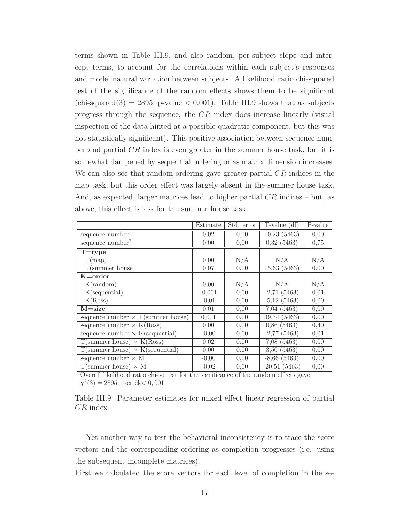terms shown in Table III.9, and also random, per-subject slope and intercept terms, to account for the correlations within each subject's responses and model natural variation between subjects. A likelihood ratio chi-squared test of the significance of the random effects shows them to be significant  $(\text{chi-squared}(3) = 2895; \text{ p-value} < 0.001)$ . Table III.9 shows that as subjects progress through the sequence, the *CR* index does increase linearly (visual inspection of the data hinted at a possible quadratic component, but this was not statistically significant). This positive association between sequence number and partial *CR* index is even greater in the summer house task, but it is somewhat dampened by sequential ordering or as matrix dimension increases. We can also see that random ordering gave greater partial *CR* indices in the map task, but this order effect was largely absent in the summer house task. And, as expected, larger matrices lead to higher partial *CR* indices – but, as above, this effect is less for the summer house task.

|                                           | Estimate | Std. error | $T-value$ (df) | P-value |
|-------------------------------------------|----------|------------|----------------|---------|
| sequence number                           | 0,02     | 0,00       | 10,23(5463)    | 0,00    |
| sequence $number2$                        | 0,00     | 0,00       | 0,32(5463)     | 0,75    |
| $T = type$                                |          |            |                |         |
| T(map)                                    | 0,00     | N/A        | N/A            | N/A     |
| T(summer house)                           | 0,07     | 0,00       | 15,63(5463)    | 0,00    |
| $K = order$                               |          |            |                |         |
| $K($ random $)$                           | 0,00     | N/A        | N/A            | N/A     |
| $K$ (sequential)                          | $-0,001$ | 0,00       | $-2,71(5463)$  | 0,01    |
| K(Ross)                                   | $-0.01$  | 0,00       | $-5,12$ (5463) | 0,00    |
| $M = size$                                | 0,01     | 0,00       | 7,04(5463)     | 0,00    |
| sequence number $\times$ T(summer house)  | 0,001    | 0,00       | 39,74 (5463)   | 0,00    |
| sequence number $\times$ K(Ross)          | 0.00     | 0.00       | 0,86(5463)     | 0,40    |
| sequence number $\times$ K(sequential)    | $-0,00$  | 0,00       | $-2,77$ (5463) | 0,01    |
| $T$ (summer house) $\times$ K(Ross)       | 0,02     | 0,00       | 7,08(5463)     | 0,00    |
| $T$ (summer house) $\times$ K(sequential) | 0,00     | 0,00       | 3,50(5463)     | 0,00    |
| sequence number $\times$ M                | $-0,00$  | 0,00       | $-8,66$ (5463) | 0,00    |
| $T$ (summer house) $\times$ M             | $-0,02$  | 0,00       | $-20,51(5463)$ | 0,00    |

Overall likelihood ratio chi-sq test for the significance of the random effects gave *χ* 2 (3) = 2895, p-érték*<* 0*,* 001

Table III.9: Parameter estimates for mixed effect linear regression of partial *CR* index

Yet another way to test the behavioral inconsistency is to trace the score vectors and the corresponding ordering as completion progresses (i.e. using the subsequent incomplete matrices).

First we calculated the score vectors for each level of completion in the se-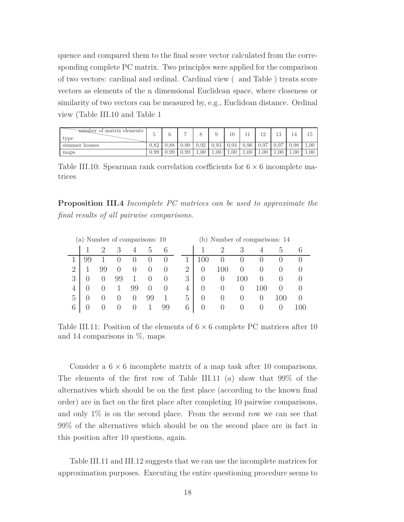quence and compared them to the final score vector calculated from the corresponding complete PC matrix. Two principles were applied for the comparison of two vectors: cardinal and ordinal. Cardinal view ( and Table ) treats score vectors as elements of the n dimensional Euclidean space, where closeness or similarity of two vectors can be measured by, e.g., Euclidean distance. Ordinal view (Table III.10 and Table 1

| mumber of matrix elements<br>tvpe |          |      | $\overline{ }$ |      |      | 10   |      | $\Omega$ | ∣Ω.<br>ΙO      | 14   | 10   |
|-----------------------------------|----------|------|----------------|------|------|------|------|----------|----------------|------|------|
| summer houses                     | 0.82     | 0.88 | 0.90           | 0.92 | 0.93 | 0.94 | 0.96 | 0.97     | Q <sub>7</sub> | 0.98 | 1,00 |
| maps                              | $0.99-1$ | 0.99 | 0.99           | 1,00 | 1.00 | 1.00 | 1,00 | 1.00     | 1,00           | 1,00 | 1,00 |

Table III.10: Spearman rank correlation coefficients for  $6 \times 6$  incomplete matrices

**Proposition III.4** *Incomplete PC matrices can be used to approximate the final results of all pairwise comparisons.*

|                | (a) Number of comparisons: 10 |    |    |                  |        |        |  |   |     |        | (b) Number of comparisons: 14 |         |          |
|----------------|-------------------------------|----|----|------------------|--------|--------|--|---|-----|--------|-------------------------------|---------|----------|
|                |                               | റ  | З  |                  | h,     | 6      |  |   |     | 3      |                               | $\cdot$ |          |
|                |                               |    |    |                  |        |        |  |   |     |        |                               |         |          |
| $\overline{2}$ |                               | 99 |    |                  |        |        |  | 2 | 100 |        |                               |         |          |
| 3              |                               |    | 99 |                  |        | $\cup$ |  | 3 |     | 100    |                               |         |          |
| 4              |                               |    |    | 99               | $\cup$ | $\cup$ |  | 4 | 0   | $\cup$ | .UU                           |         |          |
| 5              |                               |    |    | $\left( \right)$ | 99     |        |  | 5 |     | $\cup$ | U                             | 100     |          |
| 6              |                               |    |    |                  |        | 99     |  | 6 |     |        |                               |         | $($ )( ) |

Table III.11: Position of the elements of  $6 \times 6$  complete PC matrices after 10 and 14 comparisons in  $\%$ , maps

Consider a  $6 \times 6$  incomplete matrix of a map task after 10 comparisons. The elements of the first row of Table III.11 (*a*) show that 99% of the alternatives which should be on the first place (according to the known final order) are in fact on the first place after completing 10 pairwise comparisons, and only 1% is on the second place. From the second row we can see that 99% of the alternatives which should be on the second place are in fact in this position after 10 questions, again.

Table III.11 and III.12 suggests that we can use the incomplete matrices for approximation purposes. Executing the entire questioning procedure seems to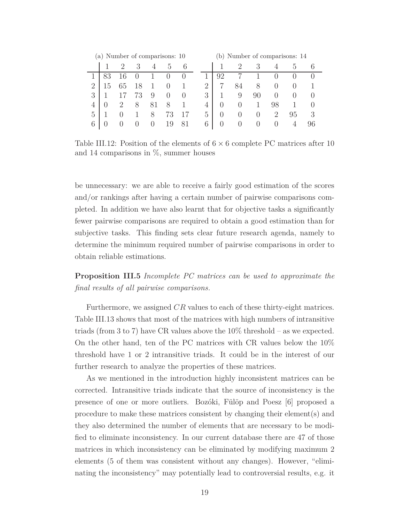|   | (a) Number of comparisons: 10 |         |    |        |                  |                  |   |                  |                  |                  | (b) Number of comparisons: 14 |                |    |
|---|-------------------------------|---------|----|--------|------------------|------------------|---|------------------|------------------|------------------|-------------------------------|----------------|----|
|   |                               | $\cdot$ | 3  |        | h,               | 6                |   |                  | $\cdot$          | 3                | 4                             | $\mathcal{L}$  |    |
|   | 83                            | 16      |    |        |                  |                  |   | 92               |                  |                  |                               |                |    |
| റ | G I                           | 65      | 18 |        |                  |                  | 2 |                  | 84               | 8                | $\cup$                        | U              |    |
| 3 |                               |         | 73 | 9      | $\left( \right)$ | $\left( \right)$ | 3 |                  | 9                | 90               | $\left( \right)$              | $\cup$         |    |
| 4 |                               |         | 8  |        | 8                |                  | 4 | $\cup$           | $\left( \right)$ |                  | 98                            |                |    |
| 5 |                               |         |    | 8      | 73               |                  | 5 | $\left( \right)$ | $\cup$           | $\left( \right)$ | 2                             | 95             | 3  |
| 6 | 0                             |         |    | $\Box$ | 19               | 81               | 6 | 0                | $\Box$           | $\Box$           | $\cup$                        | $\overline{4}$ | 96 |

Table III.12: Position of the elements of  $6 \times 6$  complete PC matrices after 10 and 14 comparisons in  $\%$ , summer houses

be unnecessary: we are able to receive a fairly good estimation of the scores and/or rankings after having a certain number of pairwise comparisons completed. In addition we have also learnt that for objective tasks a significantly fewer pairwise comparisons are required to obtain a good estimation than for subjective tasks. This finding sets clear future research agenda, namely to determine the minimum required number of pairwise comparisons in order to obtain reliable estimations.

**Proposition III.5** *Incomplete PC matrices can be used to approximate the final results of all pairwise comparisons.*

Furthermore, we assigned *CR* values to each of these thirty-eight matrices. Table III.13 shows that most of the matrices with high numbers of intransitive triads (from 3 to 7) have CR values above the 10% threshold – as we expected. On the other hand, ten of the PC matrices with CR values below the 10% threshold have 1 or 2 intransitive triads. It could be in the interest of our further research to analyze the properties of these matrices.

As we mentioned in the introduction highly inconsistent matrices can be corrected. Intransitive triads indicate that the source of inconsistency is the presence of one or more outliers. Bozóki, Fülöp and Poesz [6] proposed a procedure to make these matrices consistent by changing their element(s) and they also determined the number of elements that are necessary to be modified to eliminate inconsistency. In our current database there are 47 of those matrices in which inconsistency can be eliminated by modifying maximum 2 elements (5 of them was consistent without any changes). However, "eliminating the inconsistency" may potentially lead to controversial results, e.g. it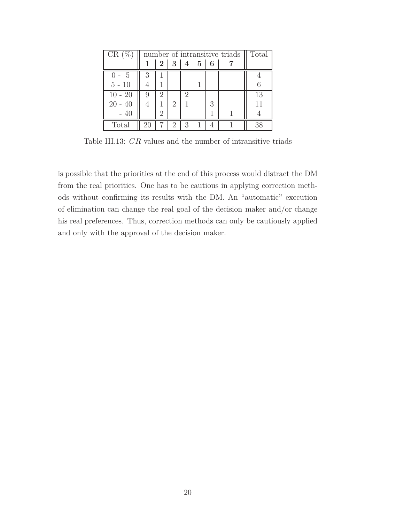| $CR(\%$   |                |                |                |                   |   | number of intransitive triads $\parallel$ | Total |
|-----------|----------------|----------------|----------------|-------------------|---|-------------------------------------------|-------|
|           |                | 2 <sup>1</sup> |                | $3 \mid 4 \mid 5$ | 6 |                                           |       |
| $() - 5$  | 3              |                |                |                   |   |                                           |       |
| $5 - 10$  |                |                |                |                   |   |                                           |       |
| $10 - 20$ | 9              | 2              |                | 2                 |   |                                           | 13    |
| $20 - 40$ | $\overline{4}$ |                | 2              |                   | 3 |                                           | 11    |
| $-40$     |                | 2              |                |                   |   |                                           |       |
| Total     |                |                | $\overline{2}$ | 3                 |   |                                           | 38    |

Table III.13: *CR* values and the number of intransitive triads

is possible that the priorities at the end of this process would distract the DM from the real priorities. One has to be cautious in applying correction methods without confirming its results with the DM. An "automatic" execution of elimination can change the real goal of the decision maker and/or change his real preferences. Thus, correction methods can only be cautiously applied and only with the approval of the decision maker.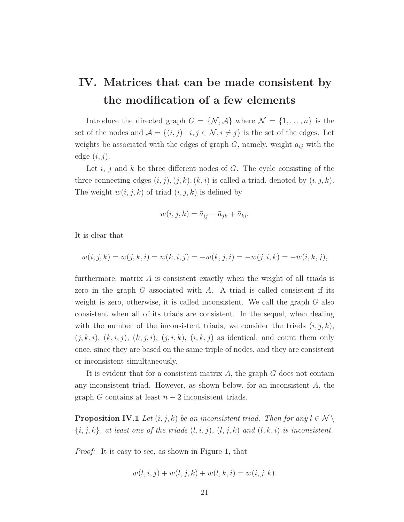# **IV. Matrices that can be made consistent by the modification of a few elements**

Introduce the directed graph  $G = \{N, \mathcal{A}\}\$  where  $\mathcal{N} = \{1, \ldots, n\}$  is the set of the nodes and  $\mathcal{A} = \{(i, j) | i, j \in \mathcal{N}, i \neq j\}$  is the set of the edges. Let weights be associated with the edges of graph  $G$ , namely, weight  $\bar{a}_{ij}$  with the edge (*i, j*).

Let *i*, *j* and *k* be three different nodes of *G*. The cycle consisting of the three connecting edges  $(i, j), (j, k), (k, i)$  is called a triad, denoted by  $(i, j, k)$ . The weight  $w(i, j, k)$  of triad  $(i, j, k)$  is defined by

$$
w(i, j, k) = \bar{a}_{ij} + \bar{a}_{jk} + \bar{a}_{ki}.
$$

It is clear that

$$
w(i, j, k) = w(j, k, i) = w(k, i, j) = -w(k, j, i) = -w(j, i, k) = -w(i, k, j),
$$

furthermore, matrix *A* is consistent exactly when the weight of all triads is zero in the graph *G* associated with *A*. A triad is called consistent if its weight is zero, otherwise, it is called inconsistent. We call the graph *G* also consistent when all of its triads are consistent. In the sequel, when dealing with the number of the inconsistent triads, we consider the triads  $(i, j, k)$ ,  $(j, k, i)$ ,  $(k, i, j)$ ,  $(k, j, i)$ ,  $(j, i, k)$ ,  $(i, k, j)$  as identical, and count them only once, since they are based on the same triple of nodes, and they are consistent or inconsistent simultaneously.

It is evident that for a consistent matrix *A*, the graph *G* does not contain any inconsistent triad. However, as shown below, for an inconsistent *A*, the graph *G* contains at least  $n-2$  inconsistent triads.

**Proposition IV.1** *Let*  $(i, j, k)$  *be an inconsistent triad. Then for any*  $l \in \mathcal{N} \setminus \mathcal{N}$  $\{i, j, k\}$ *, at least one of the triads*  $(l, i, j)$ *,*  $(l, j, k)$  *and*  $(l, k, i)$  *is inconsistent.* 

*Proof:* It is easy to see, as shown in Figure 1, that

$$
w(l, i, j) + w(l, j, k) + w(l, k, i) = w(i, j, k).
$$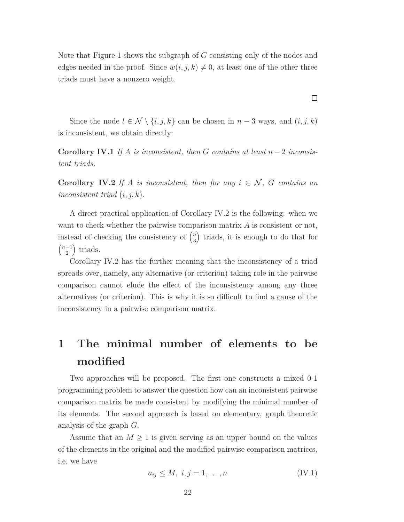Note that Figure 1 shows the subgraph of *G* consisting only of the nodes and edges needed in the proof. Since  $w(i, j, k) \neq 0$ , at least one of the other three triads must have a nonzero weight.

Since the node  $l \in \mathcal{N} \setminus \{i, j, k\}$  can be chosen in  $n-3$  ways, and  $(i, j, k)$ is inconsistent, we obtain directly:

**Corollary IV.1** *If*  $A$  *is inconsistent, then*  $G$  *contains at least*  $n-2$  *inconsistent triads.*

**Corollary IV.2** *If A is inconsistent, then for any*  $i \in \mathcal{N}$ , *G contains an inconsistent triad* (*i, j, k*)*.*

A direct practical application of Corollary IV.2 is the following: when we want to check whether the pairwise comparison matrix *A* is consistent or not, instead of checking the consistency of  $\binom{n}{3}$  $\binom{n}{3}$  triads, it is enough to do that for  $\left(n-1\right)$  $\binom{-1}{2}$  triads.

Corollary IV.2 has the further meaning that the inconsistency of a triad spreads over, namely, any alternative (or criterion) taking role in the pairwise comparison cannot elude the effect of the inconsistency among any three alternatives (or criterion). This is why it is so difficult to find a cause of the inconsistency in a pairwise comparison matrix.

# **1 The minimal number of elements to be modified**

Two approaches will be proposed. The first one constructs a mixed 0-1 programming problem to answer the question how can an inconsistent pairwise comparison matrix be made consistent by modifying the minimal number of its elements. The second approach is based on elementary, graph theoretic analysis of the graph *G*.

Assume that an  $M \geq 1$  is given serving as an upper bound on the values of the elements in the original and the modified pairwise comparison matrices, i.e. we have

$$
a_{ij} \le M, \ i, j = 1, \dots, n \tag{IV.1}
$$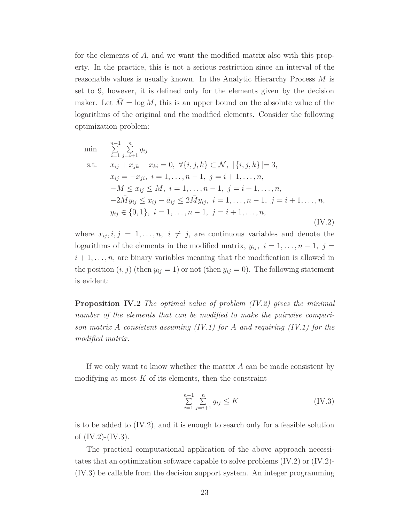for the elements of *A*, and we want the modified matrix also with this property. In the practice, this is not a serious restriction since an interval of the reasonable values is usually known. In the Analytic Hierarchy Process *M* is set to 9, however, it is defined only for the elements given by the decision maker. Let  $\overline{M} = \log M$ , this is an upper bound on the absolute value of the logarithms of the original and the modified elements. Consider the following optimization problem:

min 
$$
\sum_{i=1}^{n-1} \sum_{j=i+1}^{n} y_{ij}
$$
  
s.t.  $x_{ij} + x_{jk} + x_{ki} = 0, \forall \{i, j, k\} \subset \mathcal{N}, |\{i, j, k\}| = 3,$   
 $x_{ij} = -x_{ji}, i = 1, ..., n - 1, j = i + 1, ..., n,$   
 $-\bar{M} \le x_{ij} \le \bar{M}, i = 1, ..., n - 1, j = i + 1, ..., n,$   
 $-2\bar{M}y_{ij} \le x_{ij} - \bar{a}_{ij} \le 2\bar{M}y_{ij}, i = 1, ..., n - 1, j = i + 1, ..., n,$   
 $y_{ij} \in \{0, 1\}, i = 1, ..., n - 1, j = i + 1, ..., n,$  (IV.2)

where  $x_{ij}, i, j = 1, \ldots, n, i \neq j$ , are continuous variables and denote the logarithms of the elements in the modified matrix,  $y_{ij}$ ,  $i = 1, \ldots, n-1$ ,  $j =$  $i+1,\ldots,n$ , are binary variables meaning that the modification is allowed in the position  $(i, j)$  (then  $y_{ij} = 1$ ) or not (then  $y_{ij} = 0$ ). The following statement is evident:

**Proposition IV.2** *The optimal value of problem (IV.2) gives the minimal number of the elements that can be modified to make the pairwise comparison matrix A consistent assuming (IV.1) for A and requiring (IV.1) for the modified matrix.*

If we only want to know whether the matrix *A* can be made consistent by modifying at most *K* of its elements, then the constraint

$$
\sum_{i=1}^{n-1} \sum_{j=i+1}^{n} y_{ij} \le K \tag{IV.3}
$$

is to be added to  $(IV.2)$ , and it is enough to search only for a feasible solution of  $(IV.2)-(IV.3)$ .

The practical computational application of the above approach necessitates that an optimization software capable to solve problems  $(IV.2)$  or  $(IV.2)$ -(IV.3) be callable from the decision support system. An integer programming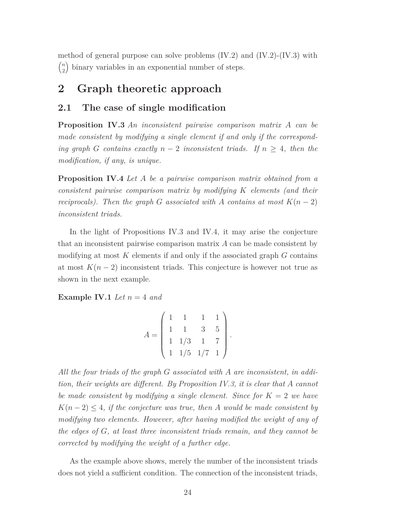method of general purpose can solve problems  $(IV.2)$  and  $(IV.2)$ - $(IV.3)$  with *n*  $\binom{n}{2}$ binary variables in an exponential number of steps.

## **2 Graph theoretic approach**

#### **2.1 The case of single modification**

**Proposition IV.3** *An inconsistent pairwise comparison matrix A can be made consistent by modifying a single element if and only if the corresponding graph G contains exactly*  $n-2$  *inconsistent triads.* If  $n \geq 4$ *, then the modification, if any, is unique.*

**Proposition IV.4** *Let A be a pairwise comparison matrix obtained from a consistent pairwise comparison matrix by modifying K elements (and their reciprocals). Then the graph G associated with A contains at most*  $K(n-2)$ *inconsistent triads.*

In the light of Propositions IV.3 and IV.4, it may arise the conjecture that an inconsistent pairwise comparison matrix *A* can be made consistent by modifying at most *K* elements if and only if the associated graph *G* contains at most  $K(n-2)$  inconsistent triads. This conjecture is however not true as shown in the next example.

**Example IV.1** *Let*  $n = 4$  *and* 

$$
A = \begin{pmatrix} 1 & 1 & 1 & 1 \\ 1 & 1 & 3 & 5 \\ 1 & 1/3 & 1 & 7 \\ 1 & 1/5 & 1/7 & 1 \end{pmatrix}.
$$

*All the four triads of the graph G associated with A are inconsistent, in addition, their weights are different. By Proposition IV.3, it is clear that A cannot be made consistent by modifying a single element. Since for K* = 2 *we have*  $K(n-2) \leq 4$ , *if the conjecture was true, then A would be made consistent by modifying two elements. However, after having modified the weight of any of the edges of G, at least three inconsistent triads remain, and they cannot be corrected by modifying the weight of a further edge.*

As the example above shows, merely the number of the inconsistent triads does not yield a sufficient condition. The connection of the inconsistent triads,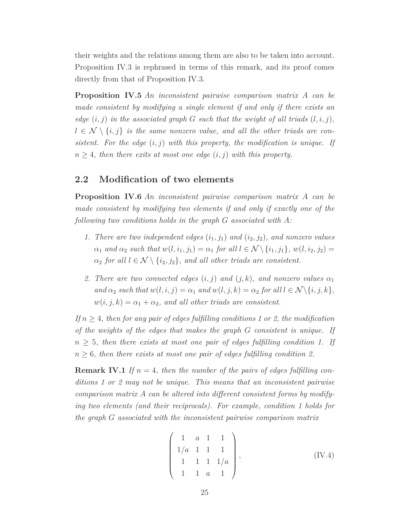their weights and the relations among them are also to be taken into account. Proposition IV.3 is rephrased in terms of this remark, and its proof comes directly from that of Proposition IV.3.

**Proposition IV.5** *An inconsistent pairwise comparison matrix A can be made consistent by modifying a single element if and only if there exists an edge*  $(i, j)$  *in the associated graph G such that the weight of all triads*  $(l, i, j)$ *,*  $l \in \mathcal{N} \setminus \{i, j\}$  *is the same nonzero value, and all the other triads are consistent. For the edge* (*i, j*) *with this property, the modification is unique. If*  $n \geq 4$ *, then there exits at most one edge*  $(i, j)$  *with this property.* 

#### **2.2 Modification of two elements**

**Proposition IV.6** *An inconsistent pairwise comparison matrix A can be made consistent by modifying two elements if and only if exactly one of the following two conditions holds in the graph G associated with A:*

- *1. There are two independent edges*  $(i_1, j_1)$  *and*  $(i_2, j_2)$ *, and nonzero values α*<sub>1</sub> *and α*<sub>2</sub> *such that*  $w(l, i_1, j_1) = \alpha_1$  *for all*  $l \in \mathcal{N} \setminus \{i_1, j_1\}$ ,  $w(l, i_2, j_2) =$  $\alpha_2$  *for all*  $l \in \mathcal{N} \setminus \{i_2, j_2\}$ *, and all other triads are consistent.*
- 2. There are two connected edges  $(i, j)$  and  $(j, k)$ , and nonzero values  $\alpha_1$ *and*  $\alpha_2$  *such that*  $w(l, i, j) = \alpha_1$  *and*  $w(l, j, k) = \alpha_2$  *for all*  $l \in \mathcal{N} \setminus \{i, j, k\},$  $w(i, j, k) = \alpha_1 + \alpha_2$ , and all other triads are consistent.

*If*  $n \geq 4$ *, then for any pair of edges fulfilling conditions 1 or 2, the modification of the weights of the edges that makes the graph G consistent is unique. If*  $n \geq 5$ , then there exists at most one pair of edges fulfilling condition 1. If  $n \geq 6$ , then there exists at most one pair of edges fulfilling condition 2.

**Remark IV.1** *If*  $n = 4$ , *then the number of the pairs of edges fulfilling conditions 1 or 2 may not be unique. This means that an inconsistent pairwise comparison matrix A can be altered into different consistent forms by modifying two elements (and their reciprocals). For example, condition 1 holds for the graph G associated with the inconsistent pairwise comparison matrix*

$$
\begin{pmatrix} 1 & a & 1 & 1 \\ 1/a & 1 & 1 & 1 \\ 1 & 1 & 1 & 1/a \\ 1 & 1 & a & 1 \end{pmatrix}, \qquad (IV.4)
$$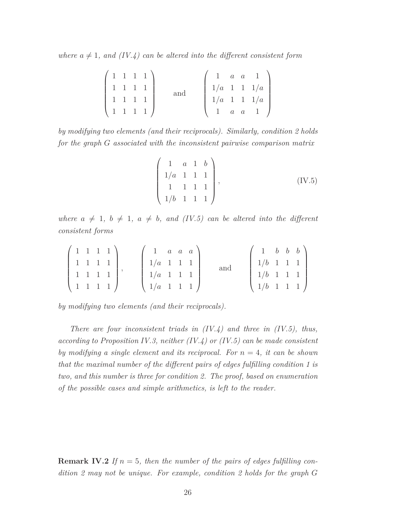where  $a \neq 1$ , and (IV.4) can be altered into the different consistent form

|  |                 | 1 1 1 1) |  |  | $1 \quad a \quad a \quad 1$                                                                   |
|--|-----------------|----------|--|--|-----------------------------------------------------------------------------------------------|
|  | $1 \t1 \t1 \t1$ |          |  |  | $\begin{array}{c cccc}\n1 & a & a & 1 \\ 1/a & 1 & 1 & 1/a \\ 1/a & 1 & 1 & 1/a\n\end{array}$ |
|  | $1 \t1 \t1 \t1$ |          |  |  |                                                                                               |
|  |                 | 1111     |  |  | $a \quad a \quad 1$                                                                           |

*by modifying two elements (and their reciprocals). Similarly, condition 2 holds for the graph G associated with the inconsistent pairwise comparison matrix*

$$
\begin{pmatrix} 1 & a & 1 & b \\ 1/a & 1 & 1 & 1 \\ 1 & 1 & 1 & 1 \\ 1/b & 1 & 1 & 1 \end{pmatrix}, \qquad (IV.5)
$$

*where*  $a \neq 1$ ,  $b \neq 1$ ,  $a \neq b$ , and (IV.5) can be altered into the different *consistent forms*

|  |  | $(1 \ 1 \ 1 \ 1)$                             | $1 \quad a \quad a \quad a$                                      |  |     | $1 \quad b \quad b \quad b$                                                                       |  |  |
|--|--|-----------------------------------------------|------------------------------------------------------------------|--|-----|---------------------------------------------------------------------------------------------------|--|--|
|  |  | 1111                                          | $1/a$ 1 1 1                                                      |  | and | $1/b \quad 1 \quad 1 \quad 1$                                                                     |  |  |
|  |  | 1111                                          | $1/a$ 1 1 1                                                      |  |     | $\begin{array}{ c c c c c c c c c } \hline & 1 & 1 & 1 \ \hline & 1 & 1 & 1 \ \hline \end{array}$ |  |  |
|  |  | $\begin{pmatrix} 1 & 1 & 1 & 1 \end{pmatrix}$ | $\left( \begin{array}{cccc} 1/a & 1 & 1 & 1 \end{array} \right)$ |  |     | $\left(1/b \ 1 \ 1 \ 1 \right)$                                                                   |  |  |

*by modifying two elements (and their reciprocals).*

*There are four inconsistent triads in (IV.4) and three in (IV.5), thus, according to Proposition IV.3, neither (IV.4) or (IV.5) can be made consistent by modifying a single element and its reciprocal. For n* = 4*, it can be shown that the maximal number of the different pairs of edges fulfilling condition 1 is two, and this number is three for condition 2. The proof, based on enumeration of the possible cases and simple arithmetics, is left to the reader.*

**Remark IV.2** If  $n = 5$ , then the number of the pairs of edges fulfilling con*dition 2 may not be unique. For example, condition 2 holds for the graph G*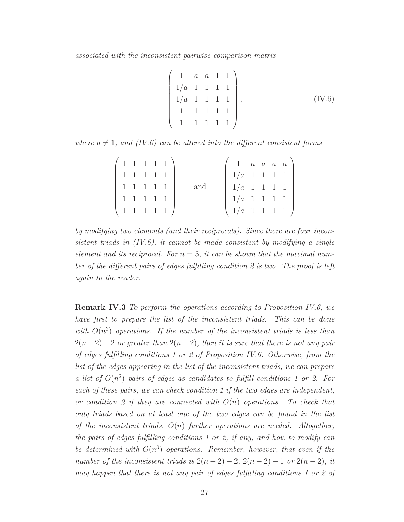*associated with the inconsistent pairwise comparison matrix*

$$
\begin{pmatrix} 1 & a & a & 1 & 1 \\ 1/a & 1 & 1 & 1 & 1 \\ 1/a & 1 & 1 & 1 & 1 \\ 1 & 1 & 1 & 1 & 1 \\ 1 & 1 & 1 & 1 & 1 \end{pmatrix}, \qquad (IV.6)
$$

*where*  $a \neq 1$ *, and* (*IV.6*) can be altered into the different consistent forms

|           |  | $(1\;1\;1\;1\;1)$ |     |                                                                      |  | $1 \quad a \quad a \quad a \quad a$ |
|-----------|--|-------------------|-----|----------------------------------------------------------------------|--|-------------------------------------|
| 1 1 1 1 1 |  |                   |     | $1/a$ 1 1 1 1 $1$                                                    |  |                                     |
|           |  | 1 1 1 1 1         | and | $1/a$ 1 1 1 1 $\vert$                                                |  |                                     |
| 11111     |  |                   |     | $1/a$ 1 1 1 1 $1$                                                    |  |                                     |
|           |  | 11111             |     | $\left( \begin{array}{cccc} 1/a & 1 & 1 & 1 & 1 \end{array} \right)$ |  |                                     |

*by modifying two elements (and their reciprocals). Since there are four inconsistent triads in (IV.6), it cannot be made consistent by modifying a single element and its reciprocal. For*  $n = 5$ , *it can be shown that the maximal number of the different pairs of edges fulfilling condition 2 is two. The proof is left again to the reader.*

**Remark IV.3** *To perform the operations according to Proposition IV.6, we have first to prepare the list of the inconsistent triads. This can be done* with  $O(n^3)$  operations. If the number of the inconsistent triads is less than  $2(n-2)-2$  *or greater than*  $2(n-2)$ *, then it is sure that there is not any pair of edges fulfilling conditions 1 or 2 of Proposition IV.6. Otherwise, from the list of the edges appearing in the list of the inconsistent triads, we can prepare a* list of  $O(n^2)$  pairs of edges as candidates to fulfill conditions 1 or 2. For *each of these pairs, we can check condition 1 if the two edges are independent, or condition 2 if they are connected with O*(*n*) *operations. To check that only triads based on at least one of the two edges can be found in the list of the inconsistent triads, O*(*n*) *further operations are needed. Altogether, the pairs of edges fulfilling conditions 1 or 2, if any, and how to modify can* be determined with  $O(n^3)$  operations. Remember, however, that even if the *number of the inconsistent triads is*  $2(n-2) - 2$ *,*  $2(n-2) - 1$  *or*  $2(n-2)$ *, it may happen that there is not any pair of edges fulfilling conditions 1 or 2 of*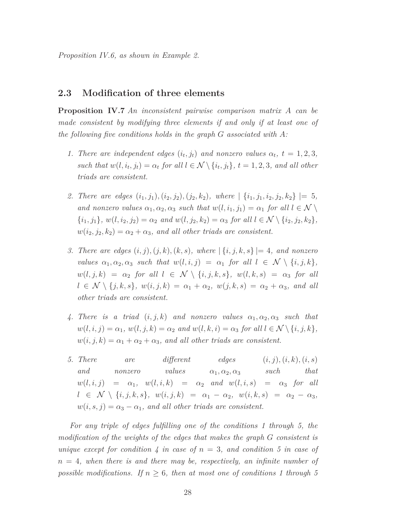*Proposition IV.6, as shown in Example 2.*

#### **2.3 Modification of three elements**

**Proposition IV.7** *An inconsistent pairwise comparison matrix A can be made consistent by modifying three elements if and only if at least one of the following five conditions holds in the graph G associated with A:*

- *1. There are independent edges*  $(i_t, j_t)$  *and nonzero values*  $\alpha_t$ ,  $t = 1, 2, 3$ , *such that*  $w(l, i_t, j_t) = \alpha_t$  for all  $l \in \mathcal{N} \setminus \{i_t, j_t\}$ ,  $t = 1, 2, 3$ , and all other *triads are consistent.*
- 2. There are edges  $(i_1, j_1)$ ,  $(i_2, j_2)$ ,  $(j_2, k_2)$ , where  $| \{i_1, j_1, i_2, j_2, k_2 \} | = 5$ , *and nonzero values*  $\alpha_1, \alpha_2, \alpha_3$  *such that*  $w(l, i_1, j_1) = \alpha_1$  *for all*  $l \in \mathcal{N} \setminus \mathcal{N}$  $\{i_1, j_1\}$ ,  $w(l, i_2, j_2) = \alpha_2$  *and*  $w(l, j_2, k_2) = \alpha_3$  *for all*  $l \in \mathcal{N} \setminus \{i_2, j_2, k_2\}$ ,  $w(i_2, j_2, k_2) = \alpha_2 + \alpha_3$ , and all other triads are consistent.
- *3. There are edges* (*i, j*)*,*(*j, k*)*,*(*k, s*)*, where* | {*i, j, k, s*} |= 4*, and nonzero values*  $\alpha_1, \alpha_2, \alpha_3$  *such that*  $w(l, i, j) = \alpha_1$  *for all*  $l \in \mathcal{N} \setminus \{i, j, k\},\$  $w(l, j, k) = \alpha_2$  *for all*  $l \in \mathcal{N} \setminus \{i, j, k, s\}, w(l, k, s) = \alpha_3$  *for all*  $l \in \mathcal{N} \setminus \{j, k, s\}, w(i, j, k) = \alpha_1 + \alpha_2, w(j, k, s) = \alpha_2 + \alpha_3, \text{ and all}$ *other triads are consistent.*
- 4. There is a triad  $(i, j, k)$  and nonzero values  $\alpha_1, \alpha_2, \alpha_3$  such that  $w(l, i, j) = \alpha_1, w(l, j, k) = \alpha_2 \text{ and } w(l, k, i) = \alpha_3 \text{ for all } l \in \mathcal{N} \setminus \{i, j, k\},$  $w(i, j, k) = \alpha_1 + \alpha_2 + \alpha_3$ , and all other triads are consistent.
- *5. There* are different edges  $(i, j)$ ,  $(i, k)$ ,  $(i, s)$ *and nonzero values α*1*, α*2*, α*<sup>3</sup> *such that*  $w(l, i, j) = \alpha_1, w(l, i, k) = \alpha_2 \text{ and } w(l, i, s) = \alpha_3 \text{ for all }$  $l \in \mathcal{N} \setminus \{i, j, k, s\}, w(i, j, k) = \alpha_1 - \alpha_2, w(i, k, s) = \alpha_2 - \alpha_3$  $w(i, s, j) = \alpha_3 - \alpha_1$ , and all other triads are consistent.

*For any triple of edges fulfilling one of the conditions 1 through 5, the modification of the weights of the edges that makes the graph G consistent is unique except for condition 4 in case of n* = 3*, and condition 5 in case of n* = 4*, when there is and there may be, respectively, an infinite number of possible modifications. If*  $n \geq 6$ *, then at most one of conditions 1 through 5*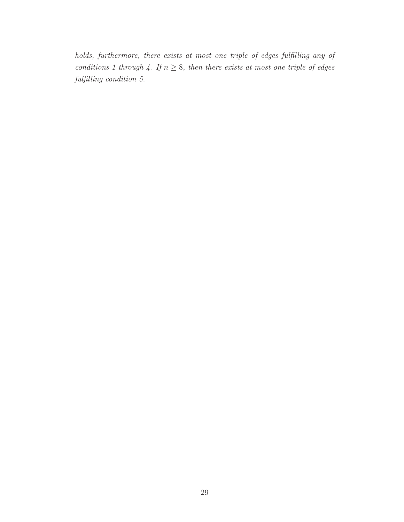*holds, furthermore, there exists at most one triple of edges fulfilling any of conditions 1 through 4. If*  $n \geq 8$ *, then there exists at most one triple of edges fulfilling condition 5.*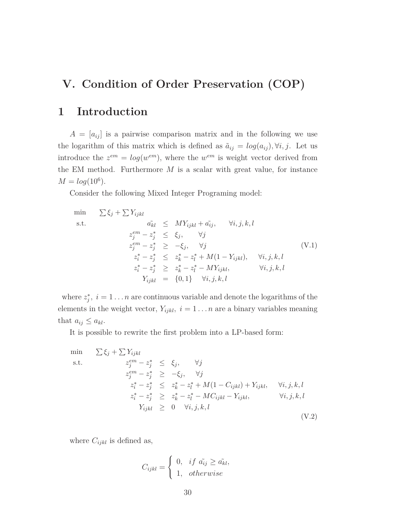# **V. Condition of Order Preservation (COP)**

# **1 Introduction**

 $A = [a_{ij}]$  is a pairwise comparison matrix and in the following we use the logarithm of this matrix which is defined as  $\tilde{a}_{ij} = log(a_{ij}), \forall i, j$ . Let us introduce the  $z^{em} = log(w^{em})$ , where the  $w^{em}$  is weight vector derived from the EM method. Furthermore *M* is a scalar with great value, for instance  $M = log(10^6)$ .

Consider the following Mixed Integer Programing model:

$$
\min \sum \xi_j + \sum Y_{ijkl}
$$
\n
$$
\text{s.t.} \quad a_{kl} \leq MY_{ijkl} + a_{ij}, \quad \forall i, j, k, l
$$
\n
$$
z_j^{em} - z_j^* \leq \xi_j, \quad \forall j
$$
\n
$$
z_j^{em} - z_j^* \geq -\xi_j, \quad \forall j
$$
\n
$$
z_i^* - z_j^* \leq z_k^* - z_l^* + M(1 - Y_{ijkl}), \quad \forall i, j, k, l
$$
\n
$$
z_i^* - z_j^* \geq z_k^* - z_l^* - MY_{ijkl}, \quad \forall i, j, k, l
$$
\n
$$
Y_{ijkl} = \{0, 1\} \quad \forall i, j, k, l
$$

where  $z_j^*$ ,  $i = 1...n$  are continuous variable and denote the logarithms of the elements in the weight vector,  $Y_{ijkl}$ ,  $i = 1...n$  are a binary variables meaning that  $a_{ij} \leq a_{kl}$ .

It is possible to rewrite the first problem into a LP-based form:

$$
\min \sum \xi_j + \sum Y_{ijkl}
$$
\n  
\n
$$
z_j^{em} - z_j^* \leq \xi_j, \quad \forall j
$$
\n
$$
z_j^{em} - z_j^* \geq -\xi_j, \quad \forall j
$$
\n
$$
z_i^* - z_j^* \leq z_k^* - z_l^* + M(1 - C_{ijkl}) + Y_{ijkl}, \quad \forall i, j, k, l
$$
\n
$$
z_i^* - z_j^* \geq z_k^* - z_l^* - MC_{ijkl} - Y_{ijkl}, \quad \forall i, j, k, l
$$
\n
$$
Y_{ijkl} \geq 0 \quad \forall i, j, k, l
$$
\n
$$
(V.2)
$$

where  $C_{ijkl}$  is defined as,

$$
C_{ijkl} = \begin{cases} 0, & if \ \tilde{a_{ij}} \geq \tilde{a_{kl}}, \\ 1, & otherwise \end{cases}
$$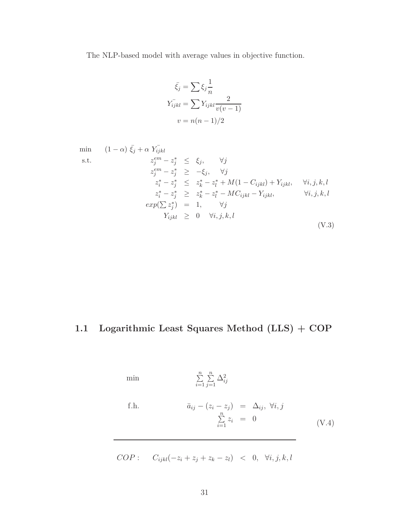The NLP-based model with average values in objective function.

$$
\bar{\xi}_j = \sum \xi_j \frac{1}{n}
$$

$$
Y_{ijkl} = \sum Y_{ijkl} \frac{2}{v(v-1)}
$$

$$
v = n(n-1)/2
$$

$$
\begin{array}{ll}\n\min & (1 - \alpha) \bar{\xi_j} + \alpha \ Y_{ijkl} \\
\text{s.t.} & z_j^{em} - z_j^* \leq \xi_j, \quad \forall j \\
& z_j^{em} - z_j^* \geq -\xi_j, \quad \forall j \\
& z_i^* - z_j^* \leq z_k^* - z_l^* + M(1 - C_{ijkl}) + Y_{ijkl}, \quad \forall i, j, k, l \\
& z_i^* - z_j^* \geq z_k^* - z_l^* - MC_{ijkl} - Y_{ijkl}, \quad \forall i, j, k, l \\
& exp(\sum z_j^*) = 1, \quad \forall j \\
& Y_{ijkl} \geq 0 \quad \forall i, j, k, l\n\end{array} \tag{V.3}
$$

# **1.1 Logarithmic Least Squares Method (LLS) + COP**

min 
$$
\sum_{i=1}^{n} \sum_{j=1}^{n} \Delta_{ij}^{2}
$$
  
\nf.h. 
$$
\bar{a}_{ij} - (z_i - z_j) = \Delta_{ij}, \forall i, j
$$

$$
\sum_{i=1}^{n} z_i = 0
$$
 (V.4)

$$
COP: \tC_{ijkl}(-z_i + z_j + z_k - z_l) < 0, \forall i, j, k, l
$$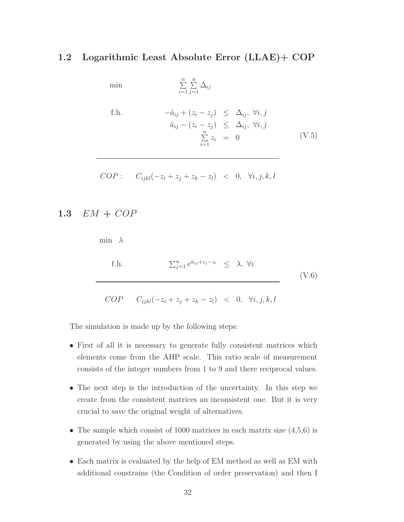#### **1.2 Logarithmic Least Absolute Error (LLAE)+ COP**

$$
\min \qquad \qquad \sum_{i=1}^{n} \sum_{j=1}^{n} \Delta_{ij}
$$

f.h. 
$$
-\bar{a}_{ij} + (z_i - z_j) \leq \Delta_{ij}, \forall i, j
$$

$$
\bar{a}_{ij} - (z_i - z_j) \leq \Delta_{ij}, \forall i, j
$$

$$
\sum_{i=1}^{n} z_i = 0
$$
(V.5)

$$
COP: \tC_{ijkl}(-z_i + z_j + z_k - z_l) < 0, \ \forall i, j, k, l
$$

### **1.3** *EM* **+** *COP*

min *λ* f*.*h*.*  $\sum_{j=1}^n e^{\bar{a}_{ij} + z_j - z_i} \leq \lambda, \forall i$ (V.6)

 $COP \t C_{ijkl}(-z_i + z_j + z_k - z_l) \t < 0, \forall i, j, k, l$ 

The simulation is made up by the following steps:

- First of all it is necessary to generate fully consistent matrices which elements come from the AHP scale. This ratio scale of measurement consists of the integer numbers from 1 to 9 and there reciprocal values.
- The next step is the introduction of the uncertainty. In this step we create from the consistent matrices an inconsistent one. But it is very crucial to save the original weight of alternatives.
- The sample which consist of 1000 matrices in each matrix size  $(4,5,6)$  is generated by using the above mentioned steps.
- Each matrix is evaluated by the help of EM method as well as EM with additional constrains (the Condition of order preservation) and then I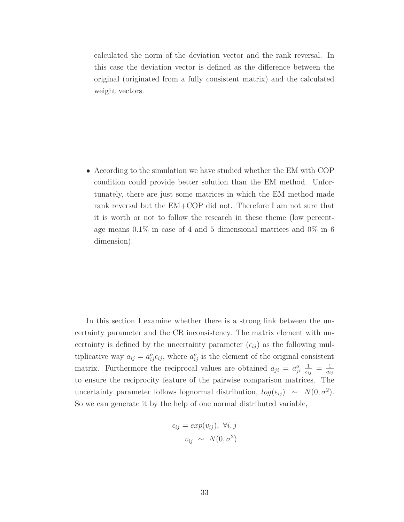calculated the norm of the deviation vector and the rank reversal. In this case the deviation vector is defined as the difference between the original (originated from a fully consistent matrix) and the calculated weight vectors.

• According to the simulation we have studied whether the EM with COP condition could provide better solution than the EM method. Unfortunately, there are just some matrices in which the EM method made rank reversal but the EM+COP did not. Therefore I am not sure that it is worth or not to follow the research in these theme (low percentage means 0.1% in case of 4 and 5 dimensional matrices and 0% in 6 dimension).

In this section I examine whether there is a strong link between the uncertainty parameter and the CR inconsistency. The matrix element with uncertainty is defined by the uncertainty parameter  $(\epsilon_{ij})$  as the following multiplicative way  $a_{ij} = a_{ij}^o \epsilon_{ij}$ , where  $a_{ij}^o$  is the element of the original consistent matrix. Furthermore the reciprocal values are obtained  $a_{ji} = a_{ji}^o \frac{1}{\epsilon_i}$  $\frac{1}{\epsilon_{ij}} = \frac{1}{a_i}$ *aij* to ensure the reciprocity feature of the pairwise comparison matrices. The uncertainty parameter follows lognormal distribution,  $log(\epsilon_{ij}) \sim N(0, \sigma^2)$ . So we can generate it by the help of one normal distributed variable,

$$
\epsilon_{ij} = exp(v_{ij}), \ \forall i, j
$$

$$
v_{ij} \sim N(0, \sigma^2)
$$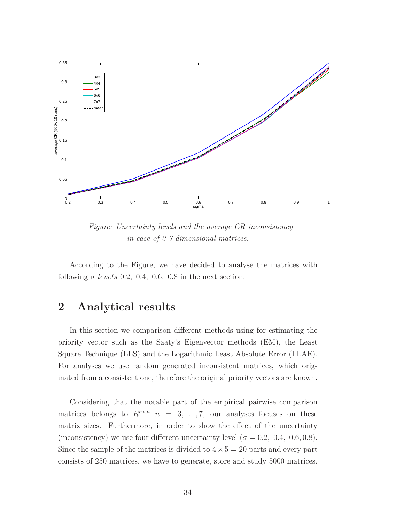

*Figure: Uncertainty levels and the average CR inconsistency in case of 3-7 dimensional matrices.*

According to the Figure, we have decided to analyse the matrices with following  $\sigma$  levels 0.2, 0.4, 0.6, 0.8 in the next section.

# **2 Analytical results**

In this section we comparison different methods using for estimating the priority vector such as the Saaty's Eigenvector methods (EM), the Least Square Technique (LLS) and the Logarithmic Least Absolute Error (LLAE). For analyses we use random generated inconsistent matrices, which originated from a consistent one, therefore the original priority vectors are known.

Considering that the notable part of the empirical pairwise comparison matrices belongs to  $R^{n \times n}$  *n* = 3, ..., 7, our analyses focuses on these matrix sizes. Furthermore, in order to show the effect of the uncertainty (inconsistency) we use four different uncertainty level ( $\sigma = 0.2, 0.4, 0.6, 0.8$ ). Since the sample of the matrices is divided to  $4 \times 5 = 20$  parts and every part consists of 250 matrices, we have to generate, store and study 5000 matrices.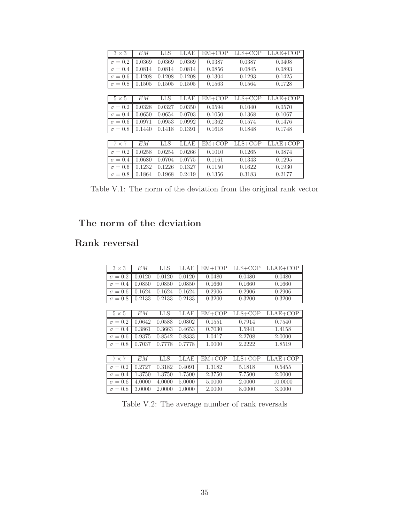| $3 \times 3$   | EМ     | LLS    | LLAE   | $EM+COP$ | $LLS+COP$ | $LLAE+COP$ |
|----------------|--------|--------|--------|----------|-----------|------------|
| $\sigma = 0.2$ | 0.0369 | 0.0369 | 0.0369 | 0.0387   | 0.0387    | 0.0408     |
| $\sigma = 0.4$ | 0.0814 | 0.0814 | 0.0814 | 0.0856   | 0.0845    | 0.0893     |
| $\sigma = 0.6$ | 0.1208 | 0.1208 | 0.1208 | 0.1304   | 0.1293    | 0.1425     |
| $\sigma = 0.8$ | 0.1505 | 0.1505 | 0.1505 | 0.1563   | 0.1564    | 0.1728     |
|                |        |        |        |          |           |            |
| $5 \times 5$   | EМ     | LLS    | LLAE   | $EM+COP$ | $LLS+COP$ | $LLAE+COP$ |
| $\sigma = 0.2$ | 0.0328 | 0.0327 | 0.0350 | 0.0594   | 0.1040    | 0.0570     |
| $\sigma = 0.4$ | 0.0650 | 0.0654 | 0.0703 | 0.1050   | 0.1368    | 0.1067     |
| $\sigma = 0.6$ | 0.0971 | 0.0953 | 0.0992 | 0.1362   | 0.1574    | 0.1476     |
| $\sigma = 0.8$ | 0.1440 | 0.1418 | 0.1391 | 0.1618   | 0.1848    | 0.1748     |
|                |        |        |        |          |           |            |
| $7 \times 7$   | EМ     | LLS    | LLAE   | $EM+COP$ | LLS+COP   | $LLAE+COP$ |
| $\sigma = 0.2$ | 0.0258 | 0.0254 | 0.0266 | 0.1010   | 0.1265    | 0.0874     |
| $\sigma = 0.4$ | 0.0680 | 0.0704 | 0.0775 | 0.1161   | 0.1343    | 0.1295     |
| $\sigma = 0.6$ | 0.1232 | 0.1226 | 0.1327 | 0.1150   | 0.1622    | 0.1930     |
| $\sigma = 0.8$ | 0.1864 | 0.1968 | 0.2419 | 0.1356   | 0.3183    | 0.2177     |

Table V.1: The norm of the deviation from the original rank vector

# **The norm of the deviation**

### **Rank reversal**

| $3 \times 3$   | EМ     | LLS    | LLAE   | $EM+COP$ | $LLS+COP$ | $LLAE+COP$ |
|----------------|--------|--------|--------|----------|-----------|------------|
| $\sigma = 0.2$ | 0.0120 | 0.0120 | 0.0120 | 0.0480   | 0.0480    | 0.0480     |
| $\sigma = 0.4$ | 0.0850 | 0.0850 | 0.0850 | 0.1660   | 0.1660    | 0.1660     |
| $\sigma = 0.6$ | 0.1624 | 0.1624 | 0.1624 | 0.2906   | 0.2906    | 0.2906     |
| $\sigma = 0.8$ | 0.2133 | 0.2133 | 0.2133 | 0.3200   | 0.3200    | 0.3200     |
|                |        |        |        |          |           |            |
| $5 \times 5$   | EМ     | LLS    | LLAE   | $EM+COP$ | $LLS+COP$ | $LLAE+COP$ |
| $\sigma = 0.2$ | 0.0642 | 0.0588 | 0.0802 | 0.1551   | 0.7914    | 0.7540     |
| $\sigma = 0.4$ | 0.3861 | 0.3663 | 0.4653 | 0.7030   | 1.5941    | 1.4158     |
| $\sigma = 0.6$ | 0.9375 | 0.8542 | 0.8333 | 1.0417   | 2.2708    | 2.0000     |
| $\sigma = 0.8$ | 0.7037 | 0.7778 | 0.7778 | 1.0000   | 2.2222    | 1.8519     |
|                |        |        |        |          |           |            |
| $7 \times 7$   | EМ     | LLS    | LLAE   | $EM+COP$ | LLS+COP   | LLAE+COP   |
| $\sigma = 0.2$ | 0.2727 | 0.3182 | 0.4091 | 1.3182   | 5.1818    | 0.5455     |
| $\sigma = 0.4$ | 1.3750 | 1.3750 | 1.7500 | 2.3750   | 7.7500    | 2.0000     |
| $\sigma = 0.6$ | 4.0000 | 4.0000 | 5.0000 | 5.0000   | 2.0000    | 10.0000    |
| $\sigma = 0.8$ | 3.0000 | 2.0000 | 1.0000 | 2.0000   | 8.0000    | 3.0000     |

Table V.2: The average number of rank reversals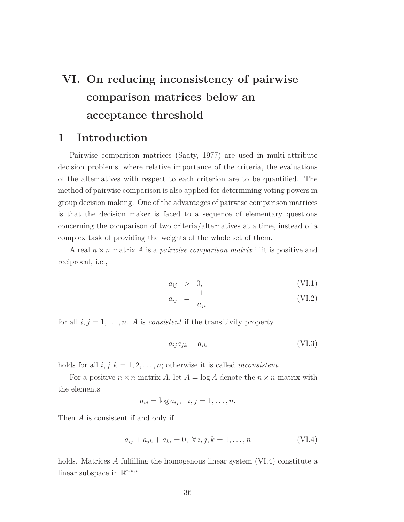# **VI. On reducing inconsistency of pairwise comparison matrices below an acceptance threshold**

### **1 Introduction**

Pairwise comparison matrices (Saaty, 1977) are used in multi-attribute decision problems, where relative importance of the criteria, the evaluations of the alternatives with respect to each criterion are to be quantified. The method of pairwise comparison is also applied for determining voting powers in group decision making. One of the advantages of pairwise comparison matrices is that the decision maker is faced to a sequence of elementary questions concerning the comparison of two criteria/alternatives at a time, instead of a complex task of providing the weights of the whole set of them.

A real *n* ×*n* matrix *A* is a *pairwise comparison matrix* if it is positive and reciprocal, i.e.,

$$
a_{ij} > 0, \t\t (VI.1)
$$

$$
a_{ij} = \frac{1}{a_{ji}} \tag{VI.2}
$$

for all  $i, j = 1, \ldots, n$ . A is *consistent* if the transitivity property

$$
a_{ij}a_{jk} = a_{ik} \tag{VI.3}
$$

holds for all  $i, j, k = 1, 2, \ldots, n$ ; otherwise it is called *inconsistent*.

For a positive  $n \times n$  matrix *A*, let  $\overline{A} = \log A$  denote the  $n \times n$  matrix with the elements

$$
\bar{a}_{ij} = \log a_{ij}, \quad i, j = 1, \dots, n.
$$

Then *A* is consistent if and only if

$$
\bar{a}_{ij} + \bar{a}_{jk} + \bar{a}_{ki} = 0, \ \forall i, j, k = 1, \dots, n
$$
\n(VI.4)

holds. Matrices  $\tilde{A}$  fulfilling the homogenous linear system (VI.4) constitute a linear subspace in  $\mathbb{R}^{n \times n}$ .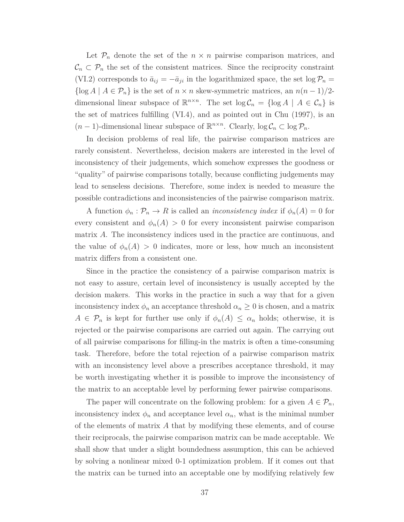Let  $\mathcal{P}_n$  denote the set of the  $n \times n$  pairwise comparison matrices, and  $\mathcal{C}_n \subset \mathcal{P}_n$  the set of the consistent matrices. Since the reciprocity constraint (VI.2) corresponds to  $\bar{a}_{ij} = -\bar{a}_{ji}$  in the logarithmized space, the set  $\log \mathcal{P}_n =$  $\{\log A \mid A \in \mathcal{P}_n\}$  is the set of  $n \times n$  skew-symmetric matrices, an  $n(n-1)/2$ dimensional linear subspace of  $\mathbb{R}^{n \times n}$ . The set  $\log \mathcal{C}_n = {\log A \mid A \in \mathcal{C}_n}$  is the set of matrices fulfilling (VI.4), and as pointed out in Chu (1997), is an  $(n-1)$ -dimensional linear subspace of  $\mathbb{R}^{n \times n}$ . Clearly,  $\log \mathcal{C}_n \subset \log \mathcal{P}_n$ .

In decision problems of real life, the pairwise comparison matrices are rarely consistent. Nevertheless, decision makers are interested in the level of inconsistency of their judgements, which somehow expresses the goodness or "quality" of pairwise comparisons totally, because conflicting judgements may lead to senseless decisions. Therefore, some index is needed to measure the possible contradictions and inconsistencies of the pairwise comparison matrix.

A function  $\phi_n : \mathcal{P}_n \to R$  is called an *inconsistency index* if  $\phi_n(A) = 0$  for every consistent and  $\phi_n(A) > 0$  for every inconsistent pairwise comparison matrix *A*. The inconsistency indices used in the practice are continuous, and the value of  $\phi_n(A) > 0$  indicates, more or less, how much an inconsistent matrix differs from a consistent one.

Since in the practice the consistency of a pairwise comparison matrix is not easy to assure, certain level of inconsistency is usually accepted by the decision makers. This works in the practice in such a way that for a given inconsistency index  $\phi_n$  an acceptance threshold  $\alpha_n \geq 0$  is chosen, and a matrix  $A \in \mathcal{P}_n$  is kept for further use only if  $\phi_n(A) \leq \alpha_n$  holds; otherwise, it is rejected or the pairwise comparisons are carried out again. The carrying out of all pairwise comparisons for filling-in the matrix is often a time-consuming task. Therefore, before the total rejection of a pairwise comparison matrix with an inconsistency level above a prescribes acceptance threshold, it may be worth investigating whether it is possible to improve the inconsistency of the matrix to an acceptable level by performing fewer pairwise comparisons.

The paper will concentrate on the following problem: for a given  $A \in \mathcal{P}_n$ , inconsistency index  $\phi_n$  and acceptance level  $\alpha_n$ , what is the minimal number of the elements of matrix *A* that by modifying these elements, and of course their reciprocals, the pairwise comparison matrix can be made acceptable. We shall show that under a slight boundedness assumption, this can be achieved by solving a nonlinear mixed 0-1 optimization problem. If it comes out that the matrix can be turned into an acceptable one by modifying relatively few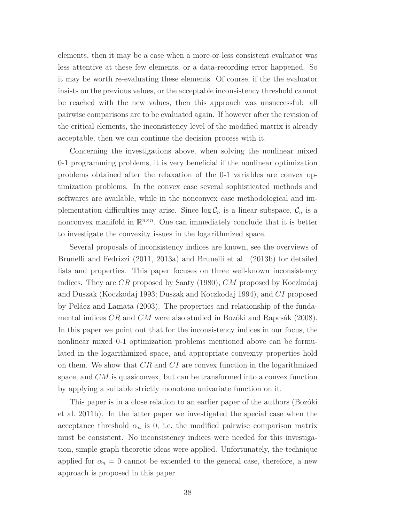elements, then it may be a case when a more-or-less consistent evaluator was less attentive at these few elements, or a data-recording error happened. So it may be worth re-evaluating these elements. Of course, if the the evaluator insists on the previous values, or the acceptable inconsistency threshold cannot be reached with the new values, then this approach was unsuccessful: all pairwise comparisons are to be evaluated again. If however after the revision of the critical elements, the inconsistency level of the modified matrix is already acceptable, then we can continue the decision process with it.

Concerning the investigations above, when solving the nonlinear mixed 0-1 programming problems, it is very beneficial if the nonlinear optimization problems obtained after the relaxation of the 0-1 variables are convex optimization problems. In the convex case several sophisticated methods and softwares are available, while in the nonconvex case methodological and implementation difficulties may arise. Since  $\log C_n$  is a linear subspace,  $C_n$  is a nonconvex manifold in  $\mathbb{R}^{n \times n}$ . One can immediately conclude that it is better to investigate the convexity issues in the logarithmized space.

Several proposals of inconsistency indices are known, see the overviews of Brunelli and Fedrizzi (2011, 2013a) and Brunelli et al. (2013b) for detailed lists and properties. This paper focuses on three well-known inconsistency indices. They are *CR* proposed by Saaty (1980), *CM* proposed by Koczkodaj and Duszak (Koczkodaj 1993; Duszak and Koczkodaj 1994), and *CI* proposed by Peláez and Lamata (2003). The properties and relationship of the fundamental indices *CR* and *CM* were also studied in Bozóki and Rapcsák (2008). In this paper we point out that for the inconsistency indices in our focus, the nonlinear mixed 0-1 optimization problems mentioned above can be formulated in the logarithmized space, and appropriate convexity properties hold on them. We show that *CR* and *CI* are convex function in the logarithmized space, and *CM* is quasiconvex, but can be transformed into a convex function by applying a suitable strictly monotone univariate function on it.

This paper is in a close relation to an earlier paper of the authors (Bozóki et al. 2011b). In the latter paper we investigated the special case when the acceptance threshold  $\alpha_n$  is 0, i.e. the modified pairwise comparison matrix must be consistent. No inconsistency indices were needed for this investigation, simple graph theoretic ideas were applied. Unfortunately, the technique applied for  $\alpha_n = 0$  cannot be extended to the general case, therefore, a new approach is proposed in this paper.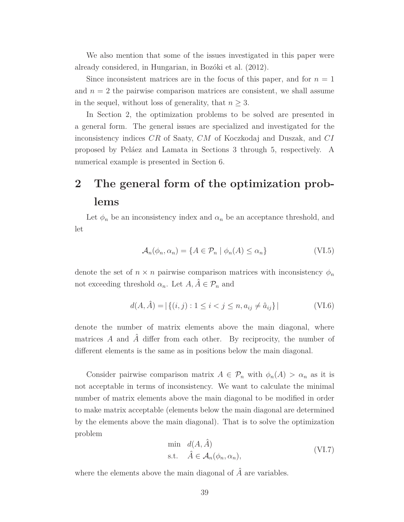We also mention that some of the issues investigated in this paper were already considered, in Hungarian, in Bozóki et al. (2012).

Since inconsistent matrices are in the focus of this paper, and for  $n = 1$ and  $n = 2$  the pairwise comparison matrices are consistent, we shall assume in the sequel, without loss of generality, that  $n \geq 3$ .

In Section 2, the optimization problems to be solved are presented in a general form. The general issues are specialized and investigated for the inconsistency indices *CR* of Saaty, *CM* of Koczkodaj and Duszak, and *CI* proposed by Peláez and Lamata in Sections 3 through 5, respectively. A numerical example is presented in Section 6.

# **2 The general form of the optimization problems**

Let  $\phi_n$  be an inconsistency index and  $\alpha_n$  be an acceptance threshold, and let

$$
\mathcal{A}_n(\phi_n, \alpha_n) = \{ A \in \mathcal{P}_n \mid \phi_n(A) \le \alpha_n \}
$$
 (VI.5)

denote the set of  $n \times n$  pairwise comparison matrices with inconsistency  $\phi_n$ not exceeding threshold  $\alpha_n$ . Let  $A, \hat{A} \in \mathcal{P}_n$  and

$$
d(A, \hat{A}) = |\{(i, j) : 1 \le i < j \le n, a_{ij} \ne \hat{a}_{ij}\}|
$$
 (VI.6)

denote the number of matrix elements above the main diagonal, where matrices  $A$  and  $\hat{A}$  differ from each other. By reciprocity, the number of different elements is the same as in positions below the main diagonal.

Consider pairwise comparison matrix  $A \in \mathcal{P}_n$  with  $\phi_n(A) > \alpha_n$  as it is not acceptable in terms of inconsistency. We want to calculate the minimal number of matrix elements above the main diagonal to be modified in order to make matrix acceptable (elements below the main diagonal are determined by the elements above the main diagonal). That is to solve the optimization problem

$$
\begin{aligned}\n\min \quad & d(A, \hat{A}) \\
\text{s.t.} \quad & \hat{A} \in \mathcal{A}_n(\phi_n, \alpha_n),\n\end{aligned}\n\tag{VI.7}
$$

where the elements above the main diagonal of  $\hat{A}$  are variables.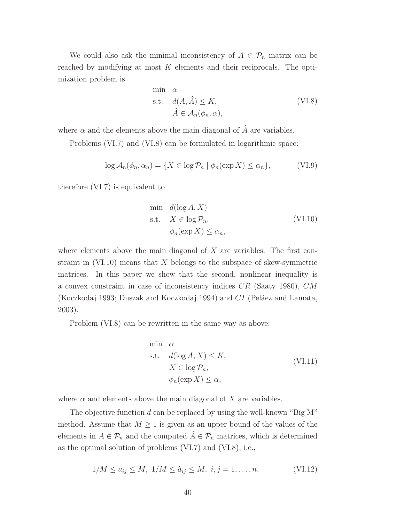We could also ask the minimal inconsistency of  $A \in \mathcal{P}_n$  matrix can be reached by modifying at most *K* elements and their reciprocals. The optimization problem is

min 
$$
\alpha
$$
  
s.t.  $d(A, \hat{A}) \le K$ ,  
 $\hat{A} \in \mathcal{A}_n(\phi_n, \alpha)$ , (VI.8)

where  $\alpha$  and the elements above the main diagonal of  $\hat{A}$  are variables.

Problems (VI.7) and (VI.8) can be formulated in logarithmic space:

$$
\log \mathcal{A}_n(\phi_n, \alpha_n) = \{ X \in \log \mathcal{P}_n \mid \phi_n(\exp X) \le \alpha_n \},\tag{VI.9}
$$

therefore (VI.7) is equivalent to

$$
\min d(\log A, X)
$$
\n
$$
\text{s.t.} \quad X \in \log \mathcal{P}_n, \tag{VI.10}
$$
\n
$$
\phi_n(\exp X) \le \alpha_n,
$$

where elements above the main diagonal of *X* are variables. The first constraint in (VI.10) means that *X* belongs to the subspace of skew-symmetric matrices. In this paper we show that the second, nonlinear inequality is a convex constraint in case of inconsistency indices *CR* (Saaty 1980), *CM* (Koczkodaj 1993; Duszak and Koczkodaj 1994) and *CI* (Peláez and Lamata, 2003).

Problem (VI.8) can be rewritten in the same way as above:

min 
$$
\alpha
$$
  
\ns.t.  $d(\log A, X) \le K$ ,  
\n $X \in \log \mathcal{P}_n$ ,  
\n $\phi_n(\exp X) \le \alpha$ , (VI.11)

where  $\alpha$  and elements above the main diagonal of X are variables.

The objective function *d* can be replaced by using the well-known "Big M" method. Assume that  $M \geq 1$  is given as an upper bound of the values of the elements in  $A \in \mathcal{P}_n$  and the computed  $\hat{A} \in \mathcal{P}_n$  matrices, which is determined as the optimal solution of problems (VI.7) and (VI.8), i.e.,

$$
1/M \le a_{ij} \le M, \ 1/M \le \hat{a}_{ij} \le M, \ i, j = 1, \dots, n. \tag{VI.12}
$$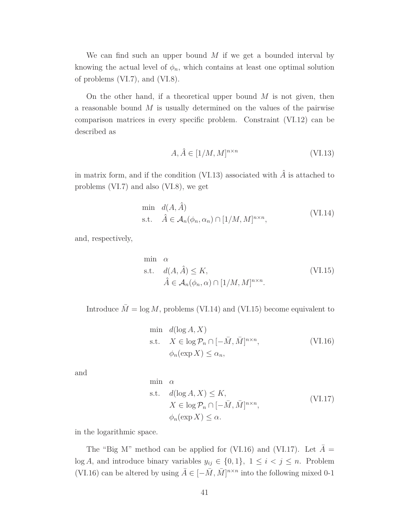We can find such an upper bound *M* if we get a bounded interval by knowing the actual level of  $\phi_n$ , which contains at least one optimal solution of problems (VI.7), and (VI.8).

On the other hand, if a theoretical upper bound *M* is not given, then a reasonable bound *M* is usually determined on the values of the pairwise comparison matrices in every specific problem. Constraint (VI.12) can be described as

$$
A, \hat{A} \in [1/M, M]^{n \times n} \tag{VI.13}
$$

in matrix form, and if the condition (VI.13) associated with  $\hat{A}$  is attached to problems (VI.7) and also (VI.8), we get

$$
\begin{aligned}\n\min \quad & d(A, \hat{A}) \\
\text{s.t.} \quad & \hat{A} \in \mathcal{A}_n(\phi_n, \alpha_n) \cap [1/M, M]^{n \times n},\n\end{aligned} \tag{VI.14}
$$

and, respectively,

min 
$$
\alpha
$$
  
s.t.  $d(A, \hat{A}) \le K$ ,  
 $\hat{A} \in \mathcal{A}_n(\phi_n, \alpha) \cap [1/M, M]^{n \times n}$ . (VI.15)

Introduce  $\overline{M} = \log M$ , problems (VI.14) and (VI.15) become equivalent to

$$
\begin{aligned}\n\min \quad & d(\log A, X) \\
\text{s.t.} \quad & X \in \log \mathcal{P}_n \cap [-\bar{M}, \bar{M}]^{n \times n}, \\
& \phi_n(\exp X) \le \alpha_n,\n\end{aligned} \tag{VI.16}
$$

and

min 
$$
\alpha
$$
  
\ns.t.  $d(\log A, X) \le K$ ,  
\n $X \in \log \mathcal{P}_n \cap [-\overline{M}, \overline{M}]^{n \times n}$ ,  
\n $\phi_n(\exp X) \le \alpha$ . (VI.17)

in the logarithmic space.

The "Big M" method can be applied for (VI.16) and (VI.17). Let  $\bar{A}$ log *A*, and introduce binary variables  $y_{ij} \in \{0, 1\}$ ,  $1 \le i \le j \le n$ . Problem (VI.16) can be altered by using  $\bar{A} \in [-\bar{M}, \bar{M}]^{n \times n}$  into the following mixed 0-1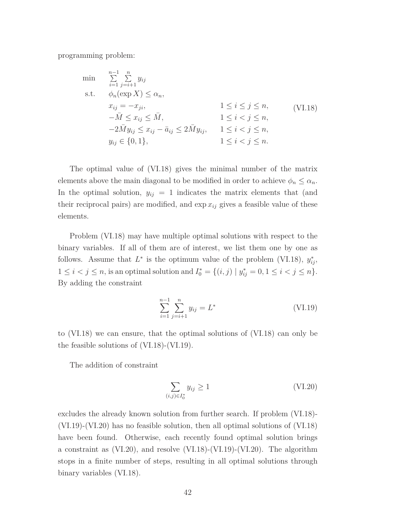programming problem:

$$
\min \quad \sum_{i=1}^{n-1} \sum_{j=i+1}^{n} y_{ij}
$$
\n
$$
\text{s.t.} \quad \phi_n(\exp X) \le \alpha_n,
$$
\n
$$
x_{ij} = -x_{ji}, \qquad 1 \le i \le j \le n,
$$
\n
$$
-\bar{M} \le x_{ij} \le \bar{M}, \qquad 1 \le i < j \le n,
$$
\n
$$
-2\bar{M}y_{ij} \le x_{ij} - \bar{a}_{ij} \le 2\bar{M}y_{ij}, \qquad 1 \le i < j \le n,
$$
\n
$$
y_{ij} \in \{0, 1\}, \qquad 1 \le i < j \le n.
$$
\n
$$
(V1.18)
$$

The optimal value of (VI.18) gives the minimal number of the matrix elements above the main diagonal to be modified in order to achieve  $\phi_n \leq \alpha_n$ . In the optimal solution,  $y_{ij} = 1$  indicates the matrix elements that (and their reciprocal pairs) are modified, and  $\exp x_{ij}$  gives a feasible value of these elements.

Problem (VI.18) may have multiple optimal solutions with respect to the binary variables. If all of them are of interest, we list them one by one as follows. Assume that  $L^*$  is the optimum value of the problem (VI.18),  $y_{ij}^*$ ,  $1 \le i < j \le n$ , is an optimal solution and  $I_0^* = \{(i, j) | y_{ij}^* = 0, 1 \le i < j \le n\}.$ By adding the constraint

$$
\sum_{i=1}^{n-1} \sum_{j=i+1}^{n} y_{ij} = L^*
$$
 (VI.19)

to (VI.18) we can ensure, that the optimal solutions of (VI.18) can only be the feasible solutions of (VI.18)-(VI.19).

The addition of constraint

$$
\sum_{(i,j)\in I_0^*} y_{ij} \ge 1\tag{VI.20}
$$

excludes the already known solution from further search. If problem (VI.18)- (VI.19)-(VI.20) has no feasible solution, then all optimal solutions of (VI.18) have been found. Otherwise, each recently found optimal solution brings a constraint as  $(VI.20)$ , and resolve  $(VI.18)-(VI.19)-(VI.20)$ . The algorithm stops in a finite number of steps, resulting in all optimal solutions through binary variables (VI.18).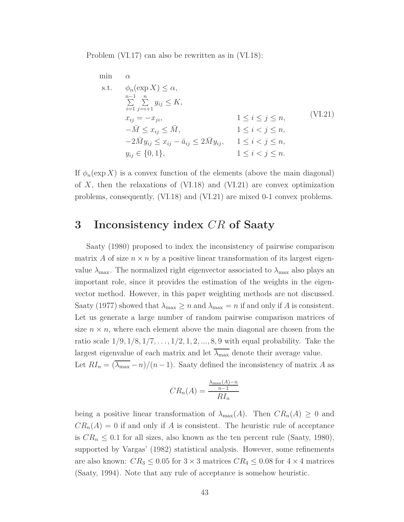Problem (VI.17) can also be rewritten as in (VI.18):

$$
\min \quad \alpha
$$
\n
$$
\sum_{n=1}^{\infty} \sum_{j=i+1}^{n} y_{ij} \leq K,
$$
\n
$$
\sum_{i=1}^{n} \sum_{j=i+1}^{n} y_{ij} \leq K,
$$
\n
$$
x_{ij} = -x_{ji}, \qquad 1 \leq i \leq j \leq n,
$$
\n
$$
-\overline{M} \leq x_{ij} \leq \overline{M}, \qquad 1 \leq i < j \leq n,
$$
\n
$$
-2\overline{M}y_{ij} \leq x_{ij} - \overline{a}_{ij} \leq 2\overline{M}y_{ij}, \qquad 1 \leq i < j \leq n,
$$
\n
$$
y_{ij} \in \{0, 1\}, \qquad 1 \leq i < j \leq n.
$$
\n
$$
(VI.21)
$$

If  $\phi_n(\exp X)$  is a convex function of the elements (above the main diagonal) of *X*, then the relaxations of (VI.18) and (VI.21) are convex optimization problems, consequently, (VI.18) and (VI.21) are mixed 0-1 convex problems.

# **3 Inconsistency index** *CR* **of Saaty**

Saaty (1980) proposed to index the inconsistency of pairwise comparison matrix *A* of size  $n \times n$  by a positive linear transformation of its largest eigenvalue  $\lambda_{\text{max}}$ . The normalized right eigenvector associated to  $\lambda_{\text{max}}$  also plays an important role, since it provides the estimation of the weights in the eigenvector method. However, in this paper weighting methods are not discussed. Saaty (1977) showed that  $\lambda_{\text{max}} \ge n$  and  $\lambda_{\text{max}} = n$  if and only if *A* is consistent. Let us generate a large number of random pairwise comparison matrices of size  $n \times n$ , where each element above the main diagonal are chosen from the ratio scale 1*/*9*,* 1*/*8*,* 1*/*7*, . . .,* 1*/*2*,* 1*,* 2*, ...,* 8*,* 9 with equal probability. Take the largest eigenvalue of each matrix and let  $\overline{\lambda_{\text{max}}}$  denote their average value. Let  $RI_n = (\overline{\lambda_{\text{max}}}-n)/(n-1)$ . Saaty defined the inconsistency of matrix *A* as

$$
CR_n(A) = \frac{\frac{\lambda_{\max}(A) - n}{n - 1}}{R I_n}
$$

being a positive linear transformation of  $\lambda_{\max}(A)$ . Then  $CR_n(A) \geq 0$  and  $CR_n(A) = 0$  if and only if *A* is consistent. The heuristic rule of acceptance is  $CR_n \leq 0.1$  for all sizes, also known as the ten percent rule (Saaty, 1980), supported by Vargas' (1982) statistical analysis. However, some refinements are also known:  $CR_3 \leq 0.05$  for  $3 \times 3$  matrices  $CR_4 \leq 0.08$  for  $4 \times 4$  matrices (Saaty, 1994). Note that any rule of acceptance is somehow heuristic.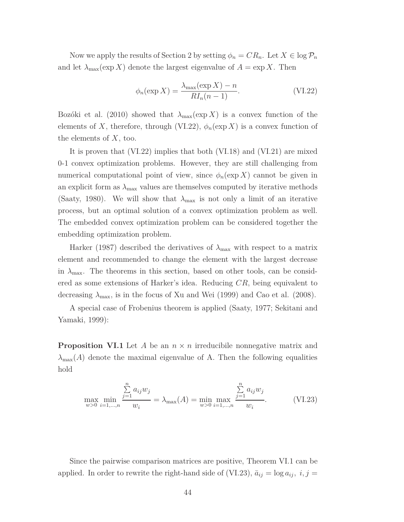Now we apply the results of Section 2 by setting  $\phi_n = CR_n$ . Let  $X \in \log \mathcal{P}_n$ and let  $\lambda_{\max}(\exp X)$  denote the largest eigenvalue of  $A = \exp X$ . Then

$$
\phi_n(\exp X) = \frac{\lambda_{\max}(\exp X) - n}{R I_n(n-1)}.\tag{VI.22}
$$

Bozóki et al. (2010) showed that  $\lambda_{\max}(\exp X)$  is a convex function of the elements of *X*, therefore, through (VI.22),  $\phi_n(\exp X)$  is a convex function of the elements of *X*, too.

It is proven that (VI.22) implies that both (VI.18) and (VI.21) are mixed 0-1 convex optimization problems. However, they are still challenging from numerical computational point of view, since  $\phi_n(\exp X)$  cannot be given in an explicit form as  $\lambda_{\text{max}}$  values are themselves computed by iterative methods (Saaty, 1980). We will show that  $\lambda_{\text{max}}$  is not only a limit of an iterative process, but an optimal solution of a convex optimization problem as well. The embedded convex optimization problem can be considered together the embedding optimization problem.

Harker (1987) described the derivatives of *λ*max with respect to a matrix element and recommended to change the element with the largest decrease in  $\lambda_{\text{max}}$ . The theorems in this section, based on other tools, can be considered as some extensions of Harker's idea. Reducing *CR*, being equivalent to decreasing  $\lambda_{\text{max}}$ , is in the focus of Xu and Wei (1999) and Cao et al. (2008).

A special case of Frobenius theorem is applied (Saaty, 1977; Sekitani and Yamaki, 1999):

**Proposition VI.1** Let *A* be an *n* × *n* irreducibile nonnegative matrix and  $\lambda_{\text{max}}(A)$  denote the maximal eigenvalue of A. Then the following equalities hold

$$
\max_{w>0} \min_{i=1,\dots,n} \frac{\sum_{j=1}^{n} a_{ij} w_j}{w_i} = \lambda_{\max}(A) = \min_{w>0} \max_{i=1,\dots,n} \frac{\sum_{j=1}^{n} a_{ij} w_j}{w_i}.
$$
 (VI.23)

Since the pairwise comparison matrices are positive, Theorem VI.1 can be applied. In order to rewrite the right-hand side of (VI.23),  $\bar{a}_{ij} = \log a_{ij}$ ,  $i, j =$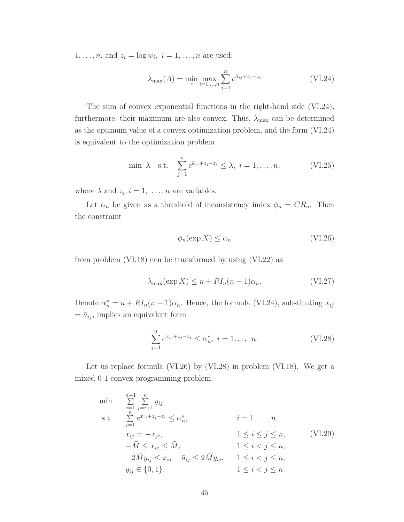1, ..., *n*, and  $z_i = \log w_i$ ,  $i = 1, ..., n$  are used:

$$
\lambda_{\max}(A) = \min_{z} \max_{i=1,\dots,n} \sum_{j=1}^{n} e^{\bar{a}_{ij} + z_j - z_i}
$$
 (VI.24)

The sum of convex exponential functions in the right-hand side (VI.24), furthermore, their maximum are also convex. Thus,  $\lambda_{\text{max}}$  can be determined as the optimum value of a convex optimization problem, and the form (VI.24) is equivalent to the optimization problem

$$
\min \lambda \quad \text{s.t.} \quad \sum_{j=1}^{n} e^{\bar{a}_{ij} + z_j - z_i} \le \lambda, \ i = 1, \dots, n,
$$
 (VI.25)

where  $\lambda$  and  $z_i$ ,  $i = 1, \ldots, n$  are variables.

Let  $\alpha_n$  be given as a threshold of inconsistency index  $\phi_n = CR_n$ . Then the constraint

$$
\phi_n(\exp X) \le \alpha_n \tag{VI.26}
$$

from problem (VI.18) can be transformed by using (VI.22) as

$$
\lambda_{\max}(\exp X) \le n + R I_n(n-1)\alpha_n. \tag{VI.27}
$$

Denote  $\alpha_n^* = n + R I_n (n-1) \alpha_n$ . Hence, the formula (VI.24), substituting  $x_{ij}$  $= \bar{a}_{ij}$ , implies an equivalent form

$$
\sum_{j=1}^{n} e^{x_{ij} + z_j - z_i} \le \alpha_n^*, \ i = 1, \dots, n. \tag{VI.28}
$$

Let us replace formula (VI.26) by (VI.28) in problem (VI.18). We get a mixed 0-1 convex programming problem:

min  
\n
$$
\sum_{i=1}^{n-1} \sum_{j=i+1}^{n} y_{ij}
$$
\ns.t. 
$$
\sum_{j=1}^{n} e^{x_{ij} + z_{j} - z_{i}} \le \alpha_{n}^{*}, \qquad i = 1, ..., n,
$$
\n
$$
x_{ij} = -x_{ji}, \qquad 1 \le i \le j \le n, \qquad \text{(VI.29)}
$$
\n
$$
-\bar{M} \le x_{ij} \le \bar{M}, \qquad 1 \le i < j \le n,
$$
\n
$$
-2\bar{M}y_{ij} \le x_{ij} - \bar{a}_{ij} \le 2\bar{M}y_{ij}, \qquad 1 \le i < j \le n,
$$
\n
$$
y_{ij} \in \{0, 1\}, \qquad 1 \le i < j \le n.
$$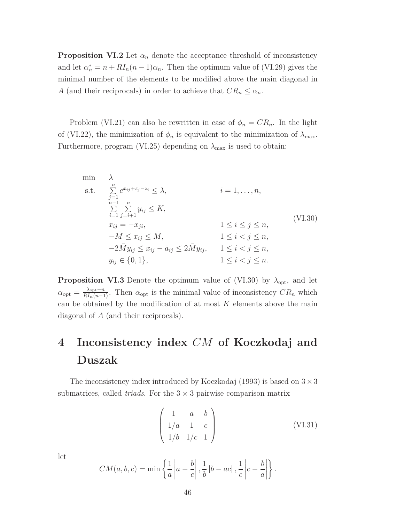**Proposition VI.2** Let  $\alpha_n$  denote the acceptance threshold of inconsistency and let  $\alpha_n^* = n + R I_n(n-1)\alpha_n$ . Then the optimum value of (VI.29) gives the minimal number of the elements to be modified above the main diagonal in *A* (and their reciprocals) in order to achieve that  $CR_n \leq \alpha_n$ .

Problem (VI.21) can also be rewritten in case of  $\phi_n = CR_n$ . In the light of (VI.22), the minimization of  $\phi_n$  is equivalent to the minimization of  $\lambda_{\text{max}}$ . Furthermore, program (VI.25) depending on  $\lambda_{\text{max}}$  is used to obtain:

min 
$$
\lambda
$$
  
\ns.t.  $\sum_{j=1}^{n} e^{x_{ij} + z_j - z_i} \le \lambda$ ,  $i = 1, ..., n$ ,  
\n $\sum_{i=1}^{n-1} \sum_{j=i+1}^{n} y_{ij} \le K$ ,  
\n $x_{ij} = -x_{ji}$ ,  $1 \le i \le j \le n$ ,  
\n $-\bar{M} \le x_{ij} \le \bar{M}$ ,  $1 \le i < j \le n$ ,  
\n $-2\bar{M}y_{ij} \le x_{ij} - \bar{a}_{ij} \le 2\bar{M}y_{ij}$ ,  $1 \le i < j \le n$ ,  
\n $y_{ij} \in \{0, 1\}$ ,  $1 \le i < j \le n$ .

**Proposition VI.3** Denote the optimum value of (VI.30) by  $\lambda_{\text{opt}}$ , and let  $\alpha_{\text{opt}} = \frac{\lambda_{\text{opt}} - n}{R I_n (n-1)}$ . Then  $\alpha_{\text{opt}}$  is the minimal value of inconsistency  $CR_n$  which can be obtained by the modification of at most *K* elements above the main diagonal of *A* (and their reciprocals).

# **4 Inconsistency index** *CM* **of Koczkodaj and Duszak**

The inconsistency index introduced by Koczkodaj (1993) is based on  $3 \times 3$ submatrices, called *triads*. For the  $3 \times 3$  pairwise comparison matrix

$$
\begin{pmatrix} 1 & a & b \\ 1/a & 1 & c \\ 1/b & 1/c & 1 \end{pmatrix}
$$
 (VI.31)

let

$$
CM(a, b, c) = \min \left\{ \frac{1}{a} \left| a - \frac{b}{c} \right|, \frac{1}{b} \left| b - ac \right|, \frac{1}{c} \left| c - \frac{b}{a} \right| \right\}.
$$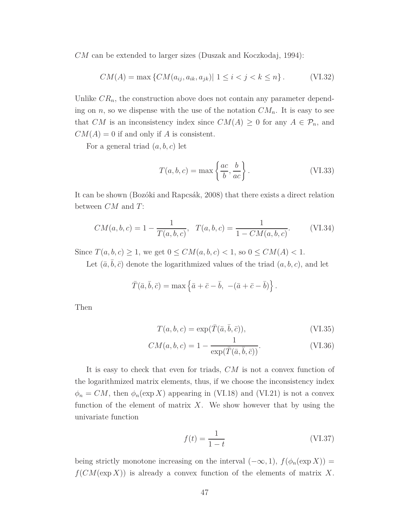*CM* can be extended to larger sizes (Duszak and Koczkodaj, 1994):

$$
CM(A) = \max \{ CM(a_{ij}, a_{ik}, a_{jk}) | 1 \le i < j < k \le n \}.
$$
 (VI.32)

Unlike  $CR_n$ , the construction above does not contain any parameter depending on *n*, so we dispense with the use of the notation  $CM_n$ . It is easy to see that *CM* is an inconsistency index since  $CM(A) \geq 0$  for any  $A \in \mathcal{P}_n$ , and  $CM(A) = 0$  if and only if *A* is consistent.

For a general triad (*a, b, c*) let

$$
T(a, b, c) = \max\left\{\frac{ac}{b}, \frac{b}{ac}\right\}.
$$
 (VI.33)

It can be shown (Bozóki and Rapcsák, 2008) that there exists a direct relation between *CM* and *T*:

$$
CM(a, b, c) = 1 - \frac{1}{T(a, b, c)}, \quad T(a, b, c) = \frac{1}{1 - CM(a, b, c)}.
$$
 (VI.34)

Since  $T(a, b, c) \ge 1$ , we get  $0 \le CM(a, b, c) < 1$ , so  $0 \le CM(A) < 1$ .

Let  $(\bar{a}, b, \bar{c})$  denote the logarithmized values of the triad  $(a, b, c)$ , and let

$$
\overline{T}(\overline{a}, \overline{b}, \overline{c}) = \max \left\{ \overline{a} + \overline{c} - \overline{b}, -(\overline{a} + \overline{c} - \overline{b}) \right\}.
$$

Then

$$
T(a, b, c) = \exp(\bar{T}(\bar{a}, \bar{b}, \bar{c})), \qquad (VI.35)
$$

$$
CM(a, b, c) = 1 - \frac{1}{\exp(\bar{T}(\bar{a}, \bar{b}, \bar{c}))}.
$$
 (VI.36)

It is easy to check that even for triads, *CM* is not a convex function of the logarithmized matrix elements, thus, if we choose the inconsistency index  $\phi_n = CM$ , then  $\phi_n(\exp X)$  appearing in (VI.18) and (VI.21) is not a convex function of the element of matrix  $X$ . We show however that by using the univariate function

$$
f(t) = \frac{1}{1 - t} \tag{VI.37}
$$

being strictly monotone increasing on the interval  $(-\infty, 1)$ ,  $f(\phi_n(\exp X))$  = *f*(*CM*(exp *X*)) is already a convex function of the elements of matrix *X*.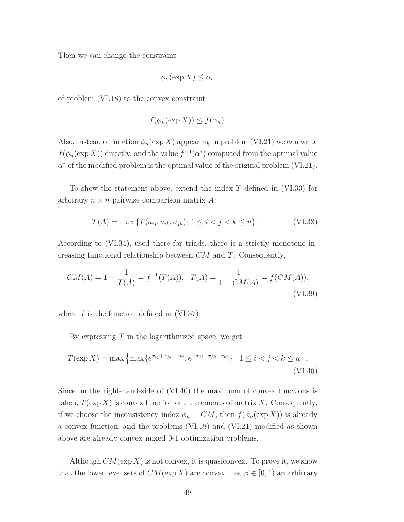Then we can change the constraint

$$
\phi_n(\exp X) \le \alpha_n
$$

of problem (VI.18) to the convex constraint

$$
f(\phi_n(\exp X)) \le f(\alpha_n).
$$

Also, instead of function  $\phi_n(\exp X)$  appearing in problem (VI.21) we can write  $f(\phi_n(\exp X))$  directly, and the value  $f^{-1}(\alpha^*)$  computed from the optimal value *α* <sup>∗</sup> of the modified problem is the optimal value of the original problem (VI.21).

To show the statement above, extend the index *T* defined in (VI.33) for arbitrary  $n \times n$  pairwise comparison matrix A:

$$
T(A) = \max \{ T(a_{ij}, a_{ik}, a_{jk}) | 1 \le i < j < k \le n \}.
$$
 (VI.38)

According to (VI.34), used there for triads, there is a strictly monotone increasing functional relationship between *CM* and *T*. Consequently,

$$
CM(A) = 1 - \frac{1}{T(A)} = f^{-1}(T(A)), \quad T(A) = \frac{1}{1 - CM(A)} = f(CM(A)),
$$
\n  
\n(VI.39)

where *f* is the function defined in (VI.37).

By expressing *T* in the logarithmized space, we get

$$
T(\exp X) = \max \left\{ \max \{ e^{x_{ij} + x_{jk} + x_{ki}}, e^{-x_{ij} - x_{jk} - x_{ki}} \} \mid 1 \le i < j < k \le n \right\}.
$$
\n(VI.40)

Since on the right-hand-side of (VI.40) the maximum of convex functions is taken,  $T(\exp X)$  is convex function of the elements of matrix X. Consequently, if we choose the inconsistency index  $\phi_n = CM$ , then  $f(\phi_n(\exp X))$  is already a convex function, and the problems (VI.18) and (VI.21) modified as shown above are already convex mixed 0-1 optimization problems.

Although  $CM(\exp X)$  is not convex, it is quasiconvex. To prove it, we show that the lower level sets of  $CM(\exp X)$  are convex. Let  $\beta \in [0,1)$  an arbitrary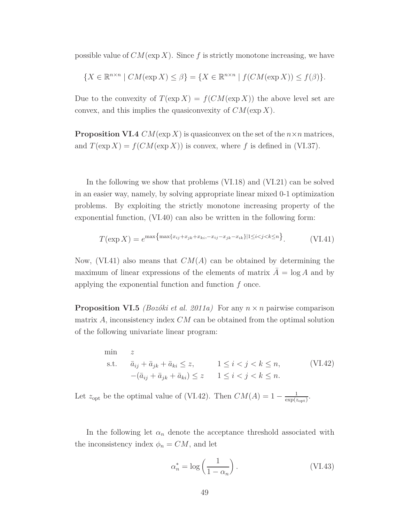possible value of  $CM(\exp X)$ . Since f is strictly monotone increasing, we have

$$
\{X \in \mathbb{R}^{n \times n} \mid CM(\exp X) \le \beta\} = \{X \in \mathbb{R}^{n \times n} \mid f(CM(\exp X)) \le f(\beta)\}.
$$

Due to the convexity of  $T(\exp X) = f(CM(\exp X))$  the above level set are convex, and this implies the quasiconvexity of *CM*(exp *X*).

**Proposition VI.4**  $CM(\exp X)$  is quasiconvex on the set of the  $n \times n$  matrices, and  $T(\exp X) = f(CM(\exp X))$  is convex, where f is defined in (VI.37).

In the following we show that problems (VI.18) and (VI.21) can be solved in an easier way, namely, by solving appropriate linear mixed 0-1 optimization problems. By exploiting the strictly monotone increasing property of the exponential function, (VI.40) can also be written in the following form:

$$
T(\exp X) = e^{\max\{\max\{x_{ij} + x_{jk} + x_{ki}, -x_{ij} - x_{jk} - x_{ik}\}\} \cdot 1 \le i < j < k \le n\}}.\tag{VI.41}
$$

Now, (VI.41) also means that *CM*(*A*) can be obtained by determining the maximum of linear expressions of the elements of matrix  $A = \log A$  and by applying the exponential function and function *f* once.

**Proposition VI.5** *(Bozóki et al. 2011a)* For any  $n \times n$  pairwise comparison matrix *A*, inconsistency index *CM* can be obtained from the optimal solution of the following univariate linear program:

min *z* s.t.  $\bar{a}_{ij} + \bar{a}_{jk} + \bar{a}_{ki} \leq z, \qquad 1 \leq i < j < k \leq n,$  $-(\bar{a}_{ij} + \bar{a}_{jk} + \bar{a}_{ki}) \leq z \qquad 1 \leq i < j < k \leq n.$ (VI.42)

Let  $z_{\text{opt}}$  be the optimal value of (VI.42). Then  $CM(A) = 1 - \frac{1}{\exp(z)}$  $\frac{1}{\exp(z_{opt})}$ .

In the following let  $\alpha_n$  denote the acceptance threshold associated with the inconsistency index  $\phi_n = CM$ , and let

$$
\alpha_n^* = \log\left(\frac{1}{1 - \alpha_n}\right). \tag{VI.43}
$$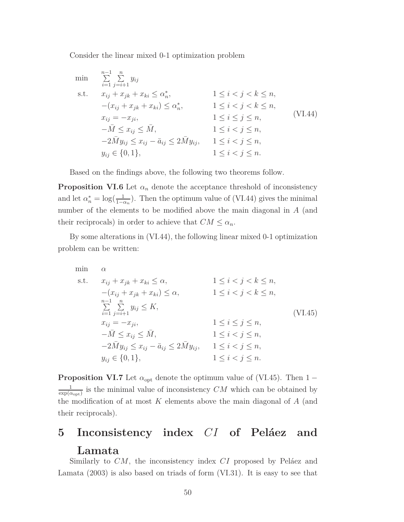Consider the linear mixed 0-1 optimization problem

min 
$$
\sum_{i=1}^{n-1} \sum_{j=i+1}^{n} y_{ij}
$$
  
\ns.t.  $x_{ij} + x_{jk} + x_{ki} \le \alpha_n^*$ ,  $1 \le i < j < k \le n$ ,  
\n $-(x_{ij} + x_{jk} + x_{ki}) \le \alpha_n^*$ ,  $1 \le i < j < k \le n$ ,  
\n $x_{ij} = -x_{ji}$ ,  $1 \le i < j < k \le n$ ,  
\n $-\overline{M} \le x_{ij} \le \overline{M}$ ,  $1 \le i < j \le n$ ,  
\n $-2\overline{M}y_{ij} \le x_{ij} - \overline{a}_{ij} \le 2\overline{M}y_{ij}$ ,  $1 \le i < j \le n$ ,  
\n $y_{ij} \in \{0, 1\}$ ,  $1 \le i < j \le n$ .

Based on the findings above, the following two theorems follow.

**Proposition VI.6** Let  $\alpha_n$  denote the acceptance threshold of inconsistency and let  $\alpha_n^* = \log(\frac{1}{1-\alpha_n})$ . Then the optimum value of (VI.44) gives the minimal number of the elements to be modified above the main diagonal in *A* (and their reciprocals) in order to achieve that  $CM \leq \alpha_n$ .

By some alterations in (VI.44), the following linear mixed 0-1 optimization problem can be written:

$$
\begin{array}{ll}\n\min & \alpha \\
\text{s.t.} & x_{ij} + x_{jk} + x_{ki} \leq \alpha, \\
&- (x_{ij} + x_{jk} + x_{ki}) \leq \alpha, \\
&\sum_{i=1}^{n-1} \sum_{j=i+1}^{n} y_{ij} \leq K, \\
x_{ij} = -x_{ji}, \\
&- \overline{M} \leq x_{ij} \leq \overline{M}, \\
&- 2\overline{M}y_{ij} \leq x_{ij} - \bar{a}_{ij} \leq 2\overline{M}y_{ij}, \\
y_{ij} \in \{0, 1\}, \\
&1 \leq i < j \leq n, \\
y_{ij} \in \{0, 1\}, \\
&1 \leq i < j \leq n.\n\end{array} \tag{V1.45}
$$

**Proposition VI.7** Let  $\alpha_{opt}$  denote the optimum value of (VI.45). Then 1 − 1  $\frac{1}{\exp(\alpha_{\text{opt}})}$  is the minimal value of inconsistency *CM* which can be obtained by the modification of at most *K* elements above the main diagonal of *A* (and their reciprocals).

# **5 Inconsistency index** *CI* **of Peláez and Lamata**

Similarly to *CM*, the inconsistency index *CI* proposed by Peláez and Lamata (2003) is also based on triads of form (VI.31). It is easy to see that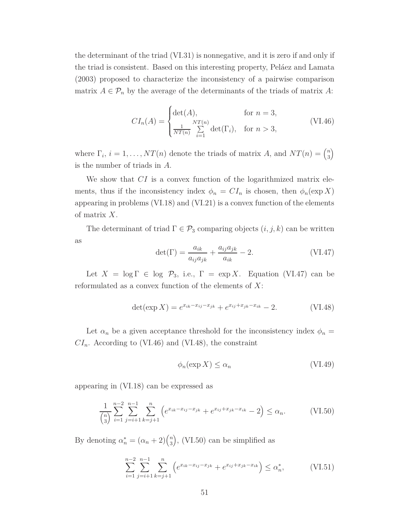the determinant of the triad (VI.31) is nonnegative, and it is zero if and only if the triad is consistent. Based on this interesting property, Peláez and Lamata (2003) proposed to characterize the inconsistency of a pairwise comparison matrix  $A \in \mathcal{P}_n$  by the average of the determinants of the triads of matrix A:

$$
CI_n(A) = \begin{cases} \det(A), & \text{for } n = 3, \\ \frac{1}{NT(n)} \sum_{i=1}^{NT(n)} \det(\Gamma_i), & \text{for } n > 3, \end{cases}
$$
(VI.46)

where  $\Gamma_i$ ,  $i = 1, ..., NT(n)$  denote the triads of matrix *A*, and  $NT(n) = \binom{n}{3}$  $\binom{n}{3}$ is the number of triads in *A*.

We show that *CI* is a convex function of the logarithmized matrix elements, thus if the inconsistency index  $\phi_n = CI_n$  is chosen, then  $\phi_n(\exp X)$ appearing in problems (VI.18) and (VI.21) is a convex function of the elements of matrix *X*.

The determinant of triad  $\Gamma \in \mathcal{P}_3$  comparing objects  $(i, j, k)$  can be written as

$$
\det(\Gamma) = \frac{a_{ik}}{a_{ij}a_{jk}} + \frac{a_{ij}a_{jk}}{a_{ik}} - 2.
$$
 (VI.47)

Let  $X = \log \Gamma \in \log \mathcal{P}_3$ , i.e.,  $\Gamma = \exp X$ . Equation (VI.47) can be reformulated as a convex function of the elements of *X*:

$$
\det(\exp X) = e^{x_{ik} - x_{ij} - x_{jk}} + e^{x_{ij} + x_{jk} - x_{ik}} - 2.
$$
 (VI.48)

Let  $\alpha_n$  be a given acceptance threshold for the inconsistency index  $\phi_n =$  $CI_n$ . According to (VI.46) and (VI.48), the constraint

$$
\phi_n(\exp X) \le \alpha_n \tag{VI.49}
$$

appearing in (VI.18) can be expressed as

$$
\frac{1}{\binom{n}{3}} \sum_{i=1}^{n-2} \sum_{j=i+1}^{n-1} \sum_{k=j+1}^{n} \left( e^{x_{ik} - x_{ij} - x_{jk}} + e^{x_{ij} + x_{jk} - x_{ik}} - 2 \right) \le \alpha_n. \tag{VI.50}
$$

By denoting  $\alpha_n^* = (\alpha_n + 2) \binom{n}{3}$  $\binom{n}{3}$ , (VI.50) can be simplified as

$$
\sum_{i=1}^{n-2} \sum_{j=i+1}^{n-1} \sum_{k=j+1}^{n} \left( e^{x_{ik} - x_{ij} - x_{jk}} + e^{x_{ij} + x_{jk} - x_{ik}} \right) \le \alpha_n^*,
$$
 (VI.51)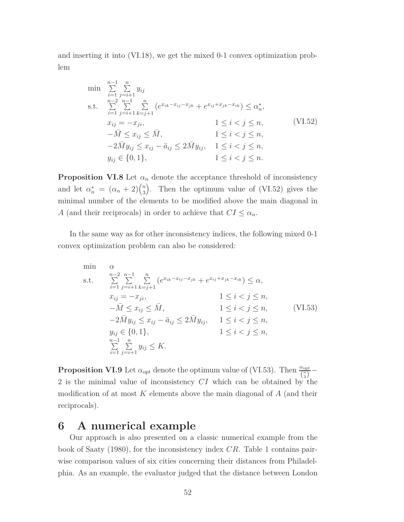and inserting it into (VI.18), we get the mixed 0-1 convex optimization problem

$$
\min \sum_{i=1}^{n-1} \sum_{j=i+1}^{n} y_{ij}
$$
\n
$$
\text{s.t.} \sum_{i=1}^{n-2} \sum_{j=i+1}^{n-1} \sum_{k=j+1}^{n} \left( e^{x_{ik} - x_{ij} - x_{jk}} + e^{x_{ij} + x_{jk} - x_{ik}} \right) \le \alpha_n^*,
$$
\n
$$
x_{ij} = -x_{ji}, \qquad 1 \le i < j \le n, \qquad -\bar{M} \le x_{ij} \le \bar{M}, \qquad 1 \le i < j \le n, \qquad -2\bar{M}y_{ij} \le x_{ij} - \bar{a}_{ij} \le 2\bar{M}y_{ij}, \qquad 1 \le i < j \le n, \qquad y_{ij} \in \{0, 1\}, \qquad 1 \le i < j \le n.
$$
\n
$$
(VI.52)
$$

**Proposition VI.8** Let  $\alpha_n$  denote the acceptance threshold of inconsistency and let  $\alpha_n^* = (\alpha_n + 2) \binom{n}{3}$  $\binom{n}{3}$ . Then the optimum value of (VI.52) gives the minimal number of the elements to be modified above the main diagonal in *A* (and their reciprocals) in order to achieve that  $CI \leq \alpha_n$ .

In the same way as for other inconsistency indices, the following mixed 0-1 convex optimization problem can also be considered:

min 
$$
\alpha
$$
  
\ns.t. 
$$
\sum_{i=1}^{n-2} \sum_{j=i+1}^{n-1} \sum_{k=j+1}^{n} (e^{x_{ik} - x_{ij} - x_{jk}} + e^{x_{ij} + x_{jk} - x_{ik}}) \le \alpha,
$$
\n $x_{ij} = -x_{ji},$   $1 \le i < j \le n,$   
\n $-\bar{M} \le x_{ij} \le \bar{M},$   $1 \le i < j \le n,$   
\n $-2\bar{M}y_{ij} \le x_{ij} - \bar{a}_{ij} \le 2\bar{M}y_{ij},$   $1 \le i < j \le n,$   
\n $y_{ij} \in \{0, 1\},$   $1 \le i < j \le n,$   
\n $\sum_{i=1}^{n-1} \sum_{j=i+1}^{n} y_{ij} \le K.$  (VI.53)

**Proposition VI.9** Let  $\alpha_{opt}$  denote the optimum value of (VI.53). Then  $\frac{\alpha_{opt}}{\binom{n}{3}}$ 2 is the minimal value of inconsistency *CI* which can be obtained by the modification of at most *K* elements above the main diagonal of *A* (and their reciprocals).

### **6 A numerical example**

Our approach is also presented on a classic numerical example from the book of Saaty (1980), for the inconsistency index *CR*. Table 1 contains pairwise comparison values of six cities concerning their distances from Philadelphia. As an example, the evaluator judged that the distance between London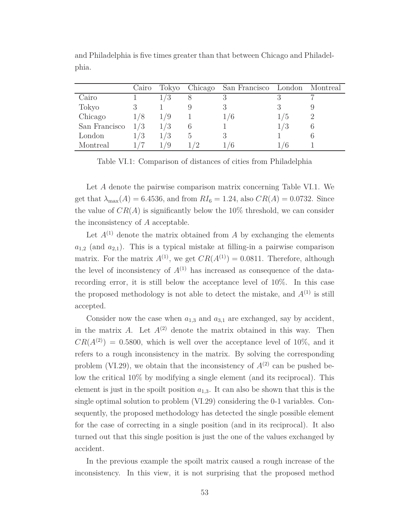|               | Cairo |     | Tokyo Chicago San Francisco London Montreal |     |  |
|---------------|-------|-----|---------------------------------------------|-----|--|
| Cairo         |       | 6.) |                                             |     |  |
| Tokyo         |       |     |                                             |     |  |
| Chicago       | 1/8   |     | 1/6                                         | / ე |  |
| San Francisco | 1/3   | 1/3 |                                             | 1/3 |  |
| London        | 1/3   | 1/3 |                                             |     |  |
| Montreal      |       |     | 6                                           | ' O |  |

and Philadelphia is five times greater than that between Chicago and Philadelphia.

Table VI.1: Comparison of distances of cities from Philadelphia

Let *A* denote the pairwise comparison matrix concerning Table VI.1. We get that  $\lambda_{\text{max}}(A) = 6.4536$ , and from  $RI_6 = 1.24$ , also  $CR(A) = 0.0732$ . Since the value of  $CR(A)$  is significantly below the 10% threshold, we can consider the inconsistency of *A* acceptable.

Let  $A^{(1)}$  denote the matrix obtained from  $A$  by exchanging the elements  $a_{1,2}$  (and  $a_{2,1}$ ). This is a typical mistake at filling-in a pairwise comparison matrix. For the matrix  $A^{(1)}$ , we get  $CR(A^{(1)}) = 0.0811$ . Therefore, although the level of inconsistency of  $A^{(1)}$  has increased as consequence of the datarecording error, it is still below the acceptance level of 10%. In this case the proposed methodology is not able to detect the mistake, and  $A^{(1)}$  is still accepted.

Consider now the case when  $a_{1,3}$  and  $a_{3,1}$  are exchanged, say by accident, in the matrix *A*. Let  $A^{(2)}$  denote the matrix obtained in this way. Then  $CR(A^{(2)}) = 0.5800$ , which is well over the acceptance level of 10\%, and it refers to a rough inconsistency in the matrix. By solving the corresponding problem (VI.29), we obtain that the inconsistency of  $A^{(2)}$  can be pushed below the critical 10% by modifying a single element (and its reciprocal). This element is just in the spoilt position  $a_{1,3}$ . It can also be shown that this is the single optimal solution to problem (VI.29) considering the 0-1 variables. Consequently, the proposed methodology has detected the single possible element for the case of correcting in a single position (and in its reciprocal). It also turned out that this single position is just the one of the values exchanged by accident.

In the previous example the spoilt matrix caused a rough increase of the inconsistency. In this view, it is not surprising that the proposed method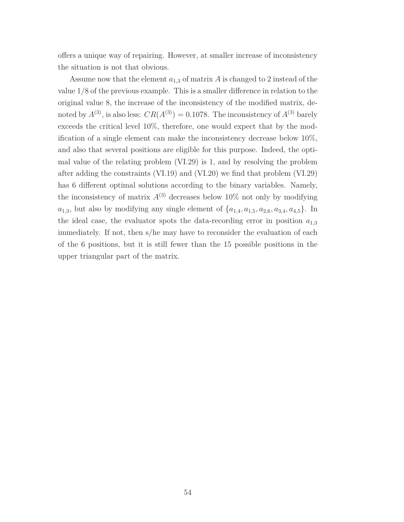offers a unique way of repairing. However, at smaller increase of inconsistency the situation is not that obvious.

Assume now that the element *a*1*,*<sup>3</sup> of matrix *A* is changed to 2 instead of the value 1/8 of the previous example. This is a smaller difference in relation to the original value 8, the increase of the inconsistency of the modified matrix, denoted by  $A^{(3)}$ , is also less:  $CR(A^{(3)}) = 0.1078$ . The inconsistency of  $A^{(3)}$  barely exceeds the critical level 10%, therefore, one would expect that by the modification of a single element can make the inconsistency decrease below 10%, and also that several positions are eligible for this purpose. Indeed, the optimal value of the relating problem (VI.29) is 1, and by resolving the problem after adding the constraints (VI.19) and (VI.20) we find that problem (VI.29) has 6 different optimal solutions according to the binary variables. Namely, the inconsistency of matrix  $A^{(3)}$  decreases below 10% not only by modifying *a*<sub>1</sub>*,*3*,* but also by modifying any single element of  $\{a_{1,4}, a_{1,5}, a_{2,6}, a_{3,4}, a_{4,5}\}$ . In the ideal case, the evaluator spots the data-recording error in position *a*1*,*<sup>3</sup> immediately. If not, then s/he may have to reconsider the evaluation of each of the 6 positions, but it is still fewer than the 15 possible positions in the upper triangular part of the matrix.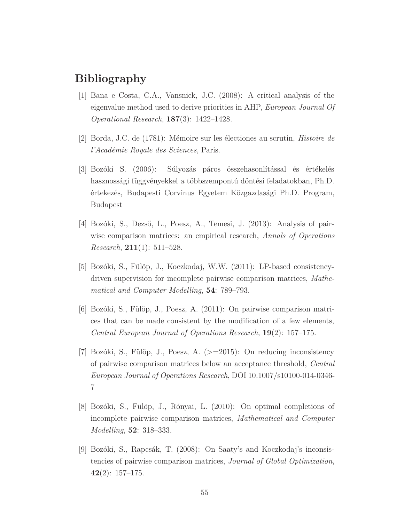# **Bibliography**

- [1] Bana e Costa, C.A., Vansnick, J.C. (2008): A critical analysis of the eigenvalue method used to derive priorities in AHP, *European Journal Of Operational Research*, **187**(3): 1422–1428.
- [2] Borda, J.C. de (1781): Mémoire sur les électiones au scrutin, *Histoire de l'Académie Royale des Sciences*, Paris.
- [3] Bozóki S. (2006): Súlyozás páros összehasonlítással és értékelés hasznossági függvényekkel a többszempontú döntési feladatokban, Ph.D. értekezés, Budapesti Corvinus Egyetem Közgazdasági Ph.D. Program, Budapest
- [4] Bozóki, S., Dezső, L., Poesz, A., Temesi, J. (2013): Analysis of pairwise comparison matrices: an empirical research, *Annals of Operations Research*, **211**(1): 511–528.
- [5] Bozóki, S., Fülöp, J., Koczkodaj, W.W. (2011): LP-based consistencydriven supervision for incomplete pairwise comparison matrices, *Mathematical and Computer Modelling*, **54**: 789–793.
- [6] Bozóki, S., Fülöp, J., Poesz, A. (2011): On pairwise comparison matrices that can be made consistent by the modification of a few elements, *Central European Journal of Operations Research*, **19**(2): 157–175.
- [7] Bozóki, S., Fülöp, J., Poesz, A. (>=2015): On reducing inconsistency of pairwise comparison matrices below an acceptance threshold, *Central European Journal of Operations Research*, DOI 10.1007/s10100-014-0346- 7
- [8] Bozóki, S., Fülöp, J., Rónyai, L. (2010): On optimal completions of incomplete pairwise comparison matrices, *Mathematical and Computer Modelling*, **52**: 318–333.
- [9] Bozóki, S., Rapcsák, T. (2008): On Saaty's and Koczkodaj's inconsistencies of pairwise comparison matrices, *Journal of Global Optimization*, **42**(2): 157–175.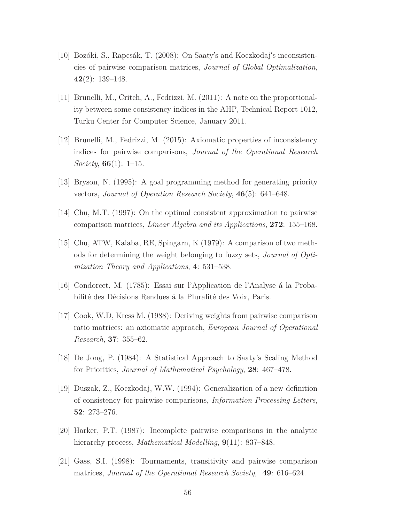- [10] Bozóki, S., Rapcsák, T. (2008): On Saaty's and Koczkodaj's inconsistencies of pairwise comparison matrices, *Journal of Global Optimalization*, **42**(2): 139–148.
- [11] Brunelli, M., Critch, A., Fedrizzi, M. (2011): A note on the proportionality between some consistency indices in the AHP, Technical Report 1012, Turku Center for Computer Science, January 2011.
- [12] Brunelli, M., Fedrizzi, M. (2015): Axiomatic properties of inconsistency indices for pairwise comparisons, *Journal of the Operational Research Society*, **66**(1): 1–15.
- [13] Bryson, N. (1995): A goal programming method for generating priority vectors, *Journal of Operation Research Society*, **46**(5): 641–648.
- [14] Chu, M.T. (1997): On the optimal consistent approximation to pairwise comparison matrices, *Linear Algebra and its Applications*, **272**: 155–168.
- [15] Chu, ATW, Kalaba, RE, Spingarn, K (1979): A comparison of two methods for determining the weight belonging to fuzzy sets, *Journal of Optimization Theory and Applications*, **4**: 531–538.
- [16] Condorcet, M. (1785): Essai sur l'Application de l'Analyse á la Probabilité des Décisions Rendues á la Pluralité des Voix, Paris.
- [17] Cook, W.D, Kress M. (1988): Deriving weights from pairwise comparison ratio matrices: an axiomatic approach, *European Journal of Operational Research*, **37**: 355–62.
- [18] De Jong, P. (1984): A Statistical Approach to Saaty's Scaling Method for Priorities, *Journal of Mathematical Psychology*, **28**: 467–478.
- [19] Duszak, Z., Koczkodaj, W.W. (1994): Generalization of a new definition of consistency for pairwise comparisons, *Information Processing Letters*, **52**: 273–276.
- [20] Harker, P.T. (1987): Incomplete pairwise comparisons in the analytic hierarchy process, *Mathematical Modelling*, **9**(11): 837–848.
- [21] Gass, S.I. (1998): Tournaments, transitivity and pairwise comparison matrices, *Journal of the Operational Research Society*, **49**: 616–624.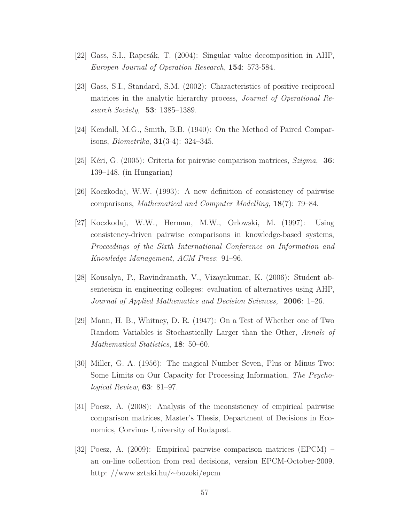- [22] Gass, S.I., Rapcsák, T. (2004): Singular value decomposition in AHP, *Europen Journal of Operation Research*, **154**: 573-584.
- [23] Gass, S.I., Standard, S.M. (2002): Characteristics of positive reciprocal matrices in the analytic hierarchy process, *Journal of Operational Research Society*, **53**: 1385–1389.
- [24] Kendall, M.G., Smith, B.B. (1940): On the Method of Paired Comparisons, *Biometrika*, **31**(3-4): 324–345.
- [25] Kéri, G. (2005): Criteria for pairwise comparison matrices, *Szigma*, **36**: 139–148. (in Hungarian)
- [26] Koczkodaj, W.W. (1993): A new definition of consistency of pairwise comparisons, *Mathematical and Computer Modelling*, **18**(7): 79–84.
- [27] Koczkodaj, W.W., Herman, M.W., Orlowski, M. (1997): Using consistency-driven pairwise comparisons in knowledge-based systems, *Proceedings of the Sixth International Conference on Information and Knowledge Management, ACM Press*: 91–96.
- [28] Kousalya, P., Ravindranath, V., Vizayakumar, K. (2006): Student absenteeism in engineering colleges: evaluation of alternatives using AHP, *Journal of Applied Mathematics and Decision Sciences,* **2006**: 1–26.
- [29] Mann, H. B., Whitney, D. R. (1947): On a Test of Whether one of Two Random Variables is Stochastically Larger than the Other, *Annals of Mathematical Statistics*, **18**: 50–60.
- [30] Miller, G. A. (1956): The magical Number Seven, Plus or Minus Two: Some Limits on Our Capacity for Processing Information, *The Psychological Review*, **63**: 81–97.
- [31] Poesz, A. (2008): Analysis of the inconsistency of empirical pairwise comparison matrices, Master's Thesis, Department of Decisions in Economics, Corvinus University of Budapest.
- [32] Poesz, A. (2009): Empirical pairwise comparison matrices (EPCM) an on-line collection from real decisions, version EPCM-October-2009. http: //www.sztaki.hu/∼bozoki/epcm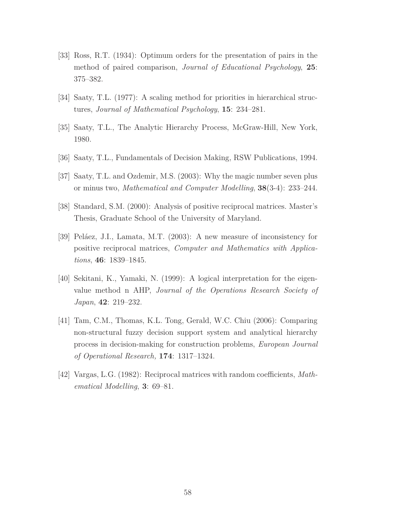- [33] Ross, R.T. (1934): Optimum orders for the presentation of pairs in the method of paired comparison, *Journal of Educational Psychology*, **25**: 375–382.
- [34] Saaty, T.L. (1977): A scaling method for priorities in hierarchical structures, *Journal of Mathematical Psychology*, **15**: 234–281.
- [35] Saaty, T.L., The Analytic Hierarchy Process, McGraw-Hill, New York, 1980.
- [36] Saaty, T.L., Fundamentals of Decision Making, RSW Publications, 1994.
- [37] Saaty, T.L. and Ozdemir, M.S. (2003): Why the magic number seven plus or minus two, *Mathematical and Computer Modelling*, **38**(3-4): 233–244.
- [38] Standard, S.M. (2000): Analysis of positive reciprocal matrices. Master's Thesis, Graduate School of the University of Maryland.
- [39] Peláez, J.I., Lamata, M.T. (2003): A new measure of inconsistency for positive reciprocal matrices, *Computer and Mathematics with Applications*, **46**: 1839–1845.
- [40] Sekitani, K., Yamaki, N. (1999): A logical interpretation for the eigenvalue method n AHP, *Journal of the Operations Research Society of Japan*, **42**: 219–232.
- [41] Tam, C.M., Thomas, K.L. Tong, Gerald, W.C. Chiu (2006): Comparing non-structural fuzzy decision support system and analytical hierarchy process in decision-making for construction problems, *European Journal of Operational Research,* **174**: 1317–1324.
- [42] Vargas, L.G. (1982): Reciprocal matrices with random coefficients, *Mathematical Modelling*, **3**: 69–81.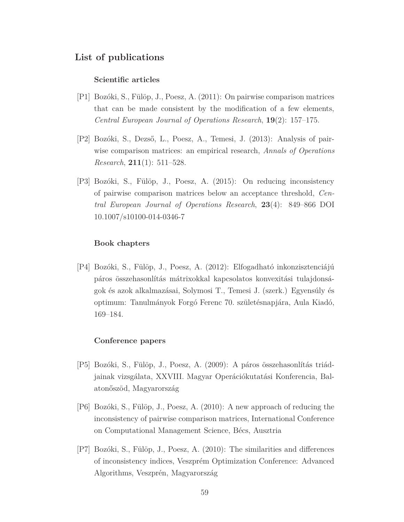#### **List of publications**

#### **Scientific articles**

- [P1] Bozóki, S., Fülöp, J., Poesz, A. (2011): On pairwise comparison matrices that can be made consistent by the modification of a few elements, *Central European Journal of Operations Research*, **19**(2): 157–175.
- [P2] Bozóki, S., Dezső, L., Poesz, A., Temesi, J. (2013): Analysis of pairwise comparison matrices: an empirical research, *Annals of Operations Research*, **211**(1): 511–528.
- [P3] Bozóki, S., Fülöp, J., Poesz, A. (2015): On reducing inconsistency of pairwise comparison matrices below an acceptance threshold, *Central European Journal of Operations Research*, **23**(4): 849–866 DOI 10.1007/s10100-014-0346-7

#### **Book chapters**

[P4] Bozóki, S., Fülöp, J., Poesz, A. (2012): Elfogadható inkonzisztenciájú páros összehasonlítás mátrixokkal kapcsolatos konvexitási tulajdonságok és azok alkalmazásai, Solymosi T., Temesi J. (szerk.) Egyensúly és optimum: Tanulmányok Forgó Ferenc 70. születésnapjára, Aula Kiadó, 169–184.

#### **Conference papers**

- [P5] Bozóki, S., Fülöp, J., Poesz, A. (2009): A páros összehasonlítás triádjainak vizsgálata, XXVIII. Magyar Operációkutatási Konferencia, Balatonőszöd, Magyarország
- [P6] Bozóki, S., Fülöp, J., Poesz, A. (2010): A new approach of reducing the inconsistency of pairwise comparison matrices, International Conference on Computational Management Science, Bécs, Ausztria
- [P7] Bozóki, S., Fülöp, J., Poesz, A. (2010): The similarities and differences of inconsistency indices, Veszprém Optimization Conference: Advanced Algorithms, Veszprén, Magyarország